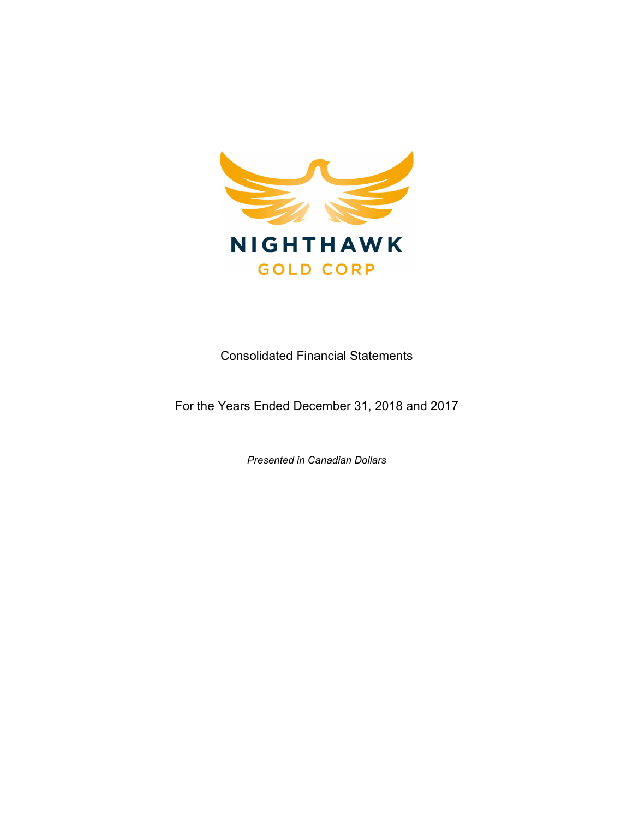

Consolidated Financial Statements

For the Years Ended December 31, 2018 and 2017

Presented in Canadian Dollars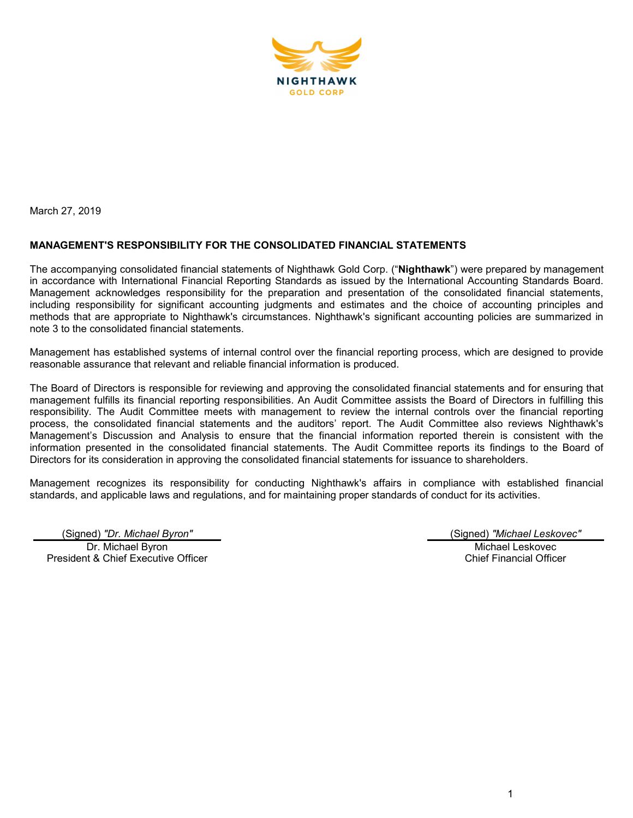

March 27, 2019

## MANAGEMENT'S RESPONSIBILITY FOR THE CONSOLIDATED FINANCIAL STATEMENTS

The accompanying consolidated financial statements of Nighthawk Gold Corp. ("Nighthawk") were prepared by management in accordance with International Financial Reporting Standards as issued by the International Accounting Standards Board. Management acknowledges responsibility for the preparation and presentation of the consolidated financial statements, including responsibility for significant accounting judgments and estimates and the choice of accounting principles and methods that are appropriate to Nighthawk's circumstances. Nighthawk's significant accounting policies are summarized in note 3 to the consolidated financial statements.

Management has established systems of internal control over the financial reporting process, which are designed to provide reasonable assurance that relevant and reliable financial information is produced.

The Board of Directors is responsible for reviewing and approving the consolidated financial statements and for ensuring that management fulfills its financial reporting responsibilities. An Audit Committee assists the Board of Directors in fulfilling this responsibility. The Audit Committee meets with management to review the internal controls over the financial reporting process, the consolidated financial statements and the auditors' report. The Audit Committee also reviews Nighthawk's Management's Discussion and Analysis to ensure that the financial information reported therein is consistent with the information presented in the consolidated financial statements. The Audit Committee reports its findings to the Board of Directors for its consideration in approving the consolidated financial statements for issuance to shareholders.

Management recognizes its responsibility for conducting Nighthawk's affairs in compliance with established financial standards, and applicable laws and regulations, and for maintaining proper standards of conduct for its activities.

(Signed) "Dr. Michael Byron" (Signed) "Michael Leskovec" Dr. Michael Byron President & Chief Executive Officer

Michael Leskovec

Chief Financial Officer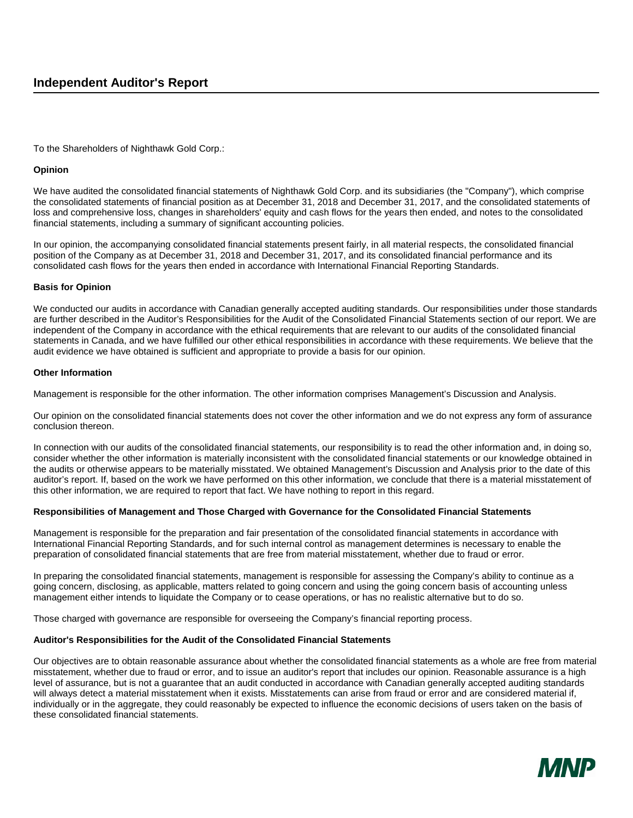To the Shareholders of Nighthawk Gold Corp.:

#### **Opinion**

We have audited the consolidated financial statements of Nighthawk Gold Corp. and its subsidiaries (the "Company"), which comprise the consolidated statements of financial position as at December 31, 2018 and December 31, 2017, and the consolidated statements of loss and comprehensive loss, changes in shareholders' equity and cash flows for the years then ended, and notes to the consolidated financial statements, including a summary of significant accounting policies.

In our opinion, the accompanying consolidated financial statements present fairly, in all material respects, the consolidated financial position of the Company as at December 31, 2018 and December 31, 2017, and its consolidated financial performance and its consolidated cash flows for the years then ended in accordance with International Financial Reporting Standards.

#### **Basis for Opinion**

We conducted our audits in accordance with Canadian generally accepted auditing standards. Our responsibilities under those standards are further described in the Auditor's Responsibilities for the Audit of the Consolidated Financial Statements section of our report. We are independent of the Company in accordance with the ethical requirements that are relevant to our audits of the consolidated financial statements in Canada, and we have fulfilled our other ethical responsibilities in accordance with these requirements. We believe that the audit evidence we have obtained is sufficient and appropriate to provide a basis for our opinion.

#### **Other Information**

Management is responsible for the other information. The other information comprises Management's Discussion and Analysis.

Our opinion on the consolidated financial statements does not cover the other information and we do not express any form of assurance conclusion thereon.

In connection with our audits of the consolidated financial statements, our responsibility is to read the other information and, in doing so, consider whether the other information is materially inconsistent with the consolidated financial statements or our knowledge obtained in the audits or otherwise appears to be materially misstated. We obtained Management's Discussion and Analysis prior to the date of this auditor's report. If, based on the work we have performed on this other information, we conclude that there is a material misstatement of this other information, we are required to report that fact. We have nothing to report in this regard.

#### **Responsibilities of Management and Those Charged with Governance for the Consolidated Financial Statements**

Management is responsible for the preparation and fair presentation of the consolidated financial statements in accordance with International Financial Reporting Standards, and for such internal control as management determines is necessary to enable the preparation of consolidated financial statements that are free from material misstatement, whether due to fraud or error.

In preparing the consolidated financial statements, management is responsible for assessing the Company's ability to continue as a going concern, disclosing, as applicable, matters related to going concern and using the going concern basis of accounting unless management either intends to liquidate the Company or to cease operations, or has no realistic alternative but to do so.

Those charged with governance are responsible for overseeing the Company's financial reporting process.

#### **Auditor's Responsibilities for the Audit of the Consolidated Financial Statements**

Our objectives are to obtain reasonable assurance about whether the consolidated financial statements as a whole are free from material misstatement, whether due to fraud or error, and to issue an auditor's report that includes our opinion. Reasonable assurance is a high level of assurance, but is not a guarantee that an audit conducted in accordance with Canadian generally accepted auditing standards will always detect a material misstatement when it exists. Misstatements can arise from fraud or error and are considered material if, individually or in the aggregate, they could reasonably be expected to influence the economic decisions of users taken on the basis of these consolidated financial statements.

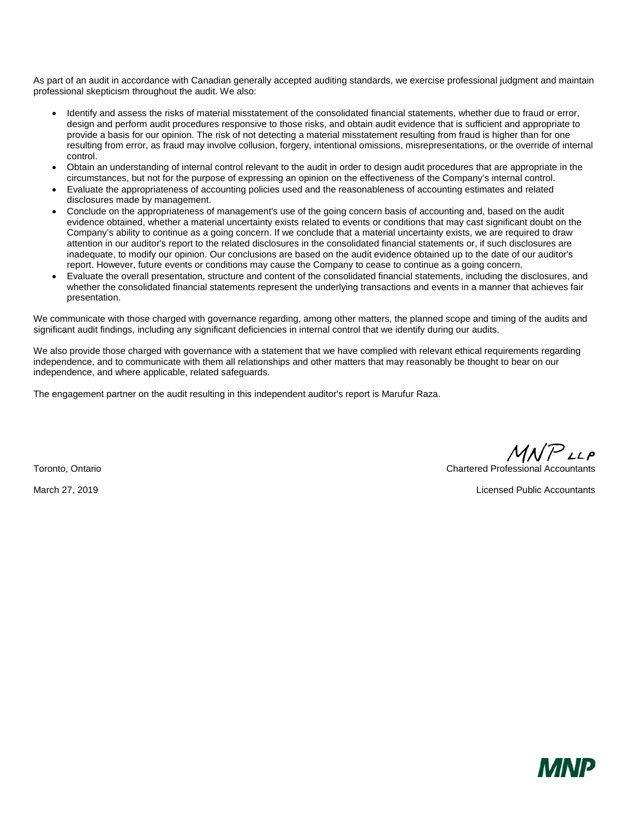As part of an audit in accordance with Canadian generally accepted auditing standards, we exercise professional judgment and maintain professional skepticism throughout the audit. We also:

- Identify and assess the risks of material misstatement of the consolidated financial statements, whether due to fraud or error, design and perform audit procedures responsive to those risks, and obtain audit evidence that is sufficient and appropriate to provide a basis for our opinion. The risk of not detecting a material misstatement resulting from fraud is higher than for one resulting from error, as fraud may involve collusion, forgery, intentional omissions, misrepresentations, or the override of internal control.
- Obtain an understanding of internal control relevant to the audit in order to design audit procedures that are appropriate in the circumstances, but not for the purpose of expressing an opinion on the effectiveness of the Company's internal control.
- Evaluate the appropriateness of accounting policies used and the reasonableness of accounting estimates and related disclosures made by management.
- Conclude on the appropriateness of management's use of the going concern basis of accounting and, based on the audit evidence obtained, whether a material uncertainty exists related to events or conditions that may cast significant doubt on the Company's ability to continue as a going concern. If we conclude that a material uncertainty exists, we are required to draw attention in our auditor's report to the related disclosures in the consolidated financial statements or, if such disclosures are inadequate, to modify our opinion. Our conclusions are based on the audit evidence obtained up to the date of our auditor's report. However, future events or conditions may cause the Company to cease to continue as a going concern.
- Evaluate the overall presentation, structure and content of the consolidated financial statements, including the disclosures, and whether the consolidated financial statements represent the underlying transactions and events in a manner that achieves fair presentation.

We communicate with those charged with governance regarding, among other matters, the planned scope and timing of the audits and significant audit findings, including any significant deficiencies in internal control that we identify during our audits.

We also provide those charged with governance with a statement that we have complied with relevant ethical requirements regarding independence, and to communicate with them all relationships and other matters that may reasonably be thought to bear on our independence, and where applicable, related safeguards.

The engagement partner on the audit resulting in this independent auditor's report is Marufur Raza.

 $MINPLP$ Toronto, Ontario Chartered Professional Accountants

March 27, 2019 Licensed Public Accountants

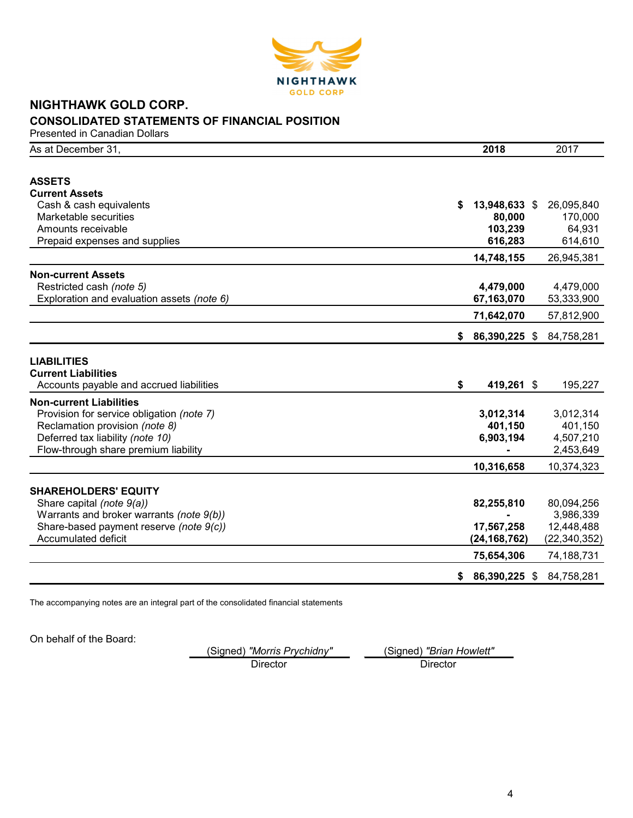

# NIGHTHAWK GOLD CORP. CONSOLIDATED STATEMENTS OF FINANCIAL POSITION

Presented in Canadian Dollars

| As at December 31,                         | 2018                | 2017           |
|--------------------------------------------|---------------------|----------------|
|                                            |                     |                |
| <b>ASSETS</b>                              |                     |                |
| <b>Current Assets</b>                      |                     |                |
| Cash & cash equivalents                    | 13,948,633 \$<br>S  | 26,095,840     |
| Marketable securities                      | 80,000              | 170,000        |
| Amounts receivable                         | 103,239             | 64,931         |
| Prepaid expenses and supplies              | 616,283             | 614,610        |
|                                            |                     |                |
|                                            | 14,748,155          | 26,945,381     |
| <b>Non-current Assets</b>                  |                     |                |
| Restricted cash (note 5)                   | 4,479,000           | 4,479,000      |
| Exploration and evaluation assets (note 6) | 67,163,070          | 53,333,900     |
|                                            | 71,642,070          | 57,812,900     |
|                                            |                     |                |
|                                            | 86,390,225 \$<br>S. | 84,758,281     |
| <b>LIABILITIES</b>                         |                     |                |
| <b>Current Liabilities</b>                 |                     |                |
| Accounts payable and accrued liabilities   | \$<br>419,261 \$    | 195,227        |
| <b>Non-current Liabilities</b>             |                     |                |
| Provision for service obligation (note 7)  | 3,012,314           | 3,012,314      |
| Reclamation provision (note 8)             | 401,150             | 401,150        |
| Deferred tax liability (note 10)           | 6,903,194           | 4,507,210      |
| Flow-through share premium liability       |                     | 2,453,649      |
|                                            | 10,316,658          | 10,374,323     |
|                                            |                     |                |
| <b>SHAREHOLDERS' EQUITY</b>                |                     |                |
| Share capital (note 9(a))                  | 82,255,810          | 80,094,256     |
| Warrants and broker warrants (note 9(b))   |                     | 3,986,339      |
| Share-based payment reserve (note 9(c))    | 17,567,258          | 12,448,488     |
| Accumulated deficit                        | (24, 168, 762)      | (22, 340, 352) |
|                                            | 75,654,306          | 74,188,731     |
|                                            | 86,390,225 \$<br>\$ | 84,758,281     |
|                                            |                     |                |

The accompanying notes are an integral part of the consolidated financial statements

On behalf of the Board:

(Signed) "Morris Prychidny" (Signed) "Brian Howlett" Director Director Director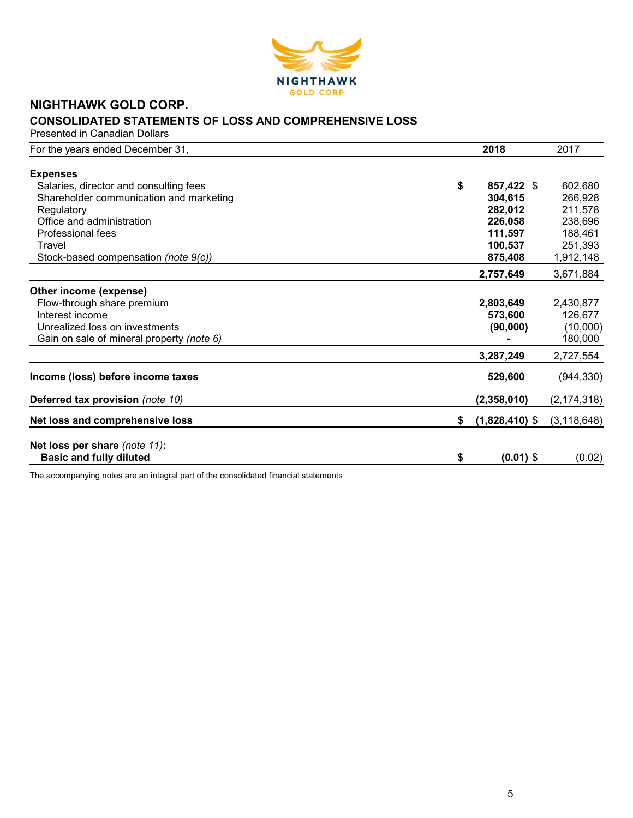

# NIGHTHAWK GOLD CORP. CONSOLIDATED STATEMENTS OF LOSS AND COMPREHENSIVE LOSS

Presented in Canadian Dollars

| For the years ended December 31,                          | 2018                   | 2017          |
|-----------------------------------------------------------|------------------------|---------------|
|                                                           |                        |               |
| <b>Expenses</b><br>Salaries, director and consulting fees | \$<br>857,422 \$       | 602,680       |
| Shareholder communication and marketing                   | 304,615                | 266,928       |
| Regulatory                                                | 282,012                | 211,578       |
| Office and administration                                 | 226,058                | 238,696       |
| Professional fees                                         | 111,597                | 188,461       |
| Travel                                                    | 100,537                | 251,393       |
| Stock-based compensation (note 9(c))                      | 875,408                | 1,912,148     |
|                                                           | 2,757,649              | 3,671,884     |
| Other income (expense)                                    |                        |               |
| Flow-through share premium                                | 2,803,649              | 2,430,877     |
| Interest income                                           | 573,600                | 126,677       |
| Unrealized loss on investments                            | (90,000)               | (10,000)      |
| Gain on sale of mineral property (note 6)                 |                        | 180,000       |
|                                                           | 3,287,249              | 2,727,554     |
| Income (loss) before income taxes                         | 529,600                | (944, 330)    |
| Deferred tax provision (note 10)                          | (2,358,010)            | (2, 174, 318) |
| Net loss and comprehensive loss                           | \$<br>$(1,828,410)$ \$ | (3, 118, 648) |
| Net loss per share (note 11):                             |                        |               |
| <b>Basic and fully diluted</b>                            | \$<br>$(0.01)$ \$      | (0.02)        |

The accompanying notes are an integral part of the consolidated financial statements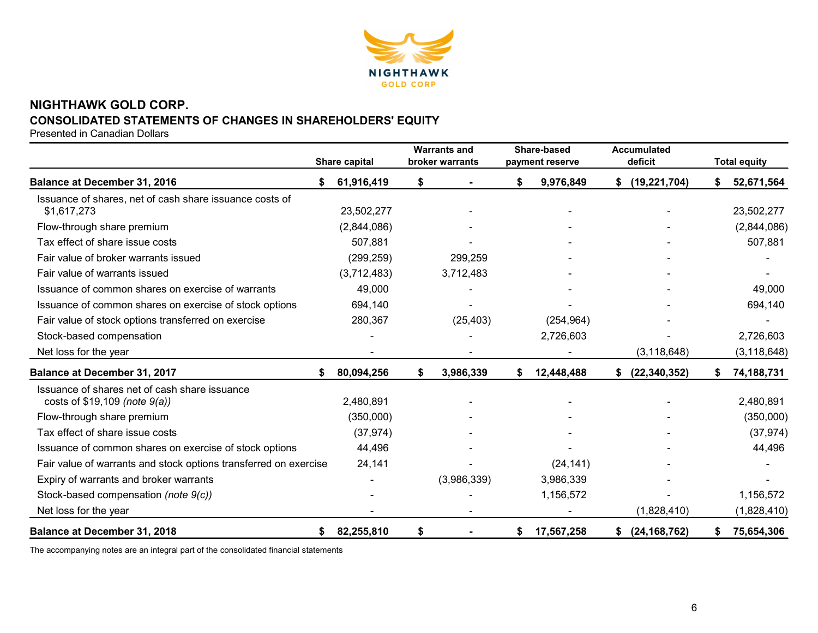

# NIGHTHAWK GOLD CORP. CONSOLIDATED STATEMENTS OF CHANGES IN SHAREHOLDERS' EQUITY

Presented in Canadian Dollars

| <b>Balance at December 31, 2016</b>                                                |  | Share capital | <b>Warrants and</b><br>broker warrants |    | Share-based<br>payment reserve | <b>Accumulated</b><br>deficit |  | <b>Total equity</b> |  |
|------------------------------------------------------------------------------------|--|---------------|----------------------------------------|----|--------------------------------|-------------------------------|--|---------------------|--|
|                                                                                    |  | 61,916,419    | \$                                     | \$ | 9,976,849                      | (19, 221, 704)<br>\$          |  | 52,671,564          |  |
| Issuance of shares, net of cash share issuance costs of<br>\$1,617,273             |  | 23,502,277    |                                        |    |                                |                               |  | 23,502,277          |  |
| Flow-through share premium                                                         |  | (2,844,086)   |                                        |    |                                |                               |  | (2,844,086)         |  |
| Tax effect of share issue costs                                                    |  | 507,881       |                                        |    |                                |                               |  | 507,881             |  |
| Fair value of broker warrants issued                                               |  | (299, 259)    | 299,259                                |    |                                |                               |  |                     |  |
| Fair value of warrants issued                                                      |  | (3,712,483)   | 3,712,483                              |    |                                |                               |  |                     |  |
| Issuance of common shares on exercise of warrants                                  |  | 49,000        |                                        |    |                                |                               |  | 49,000              |  |
| Issuance of common shares on exercise of stock options                             |  | 694,140       |                                        |    |                                |                               |  | 694,140             |  |
| Fair value of stock options transferred on exercise                                |  | 280,367       | (25, 403)                              |    | (254, 964)                     |                               |  |                     |  |
| Stock-based compensation                                                           |  |               |                                        |    | 2,726,603                      |                               |  | 2,726,603           |  |
| Net loss for the year                                                              |  |               |                                        |    |                                | (3, 118, 648)                 |  | (3, 118, 648)       |  |
| Balance at December 31, 2017                                                       |  | 80,094,256    | \$<br>3,986,339                        | \$ | 12,448,488                     | (22, 340, 352)                |  | 74,188,731          |  |
| Issuance of shares net of cash share issuance<br>costs of $$19,109$ (note $9(a)$ ) |  | 2,480,891     |                                        |    |                                |                               |  | 2,480,891           |  |
| Flow-through share premium                                                         |  | (350,000)     |                                        |    |                                |                               |  | (350,000)           |  |
| Tax effect of share issue costs                                                    |  | (37, 974)     |                                        |    |                                |                               |  | (37, 974)           |  |
| Issuance of common shares on exercise of stock options                             |  | 44,496        |                                        |    |                                |                               |  | 44,496              |  |
| Fair value of warrants and stock options transferred on exercise                   |  | 24,141        |                                        |    | (24, 141)                      |                               |  |                     |  |
| Expiry of warrants and broker warrants                                             |  |               | (3,986,339)                            |    | 3,986,339                      |                               |  |                     |  |
| Stock-based compensation (note 9(c))                                               |  |               |                                        |    | 1,156,572                      |                               |  | 1,156,572           |  |
| Net loss for the year                                                              |  |               |                                        |    |                                | (1,828,410)                   |  | (1,828,410)         |  |
| <b>Balance at December 31, 2018</b>                                                |  | 82,255,810    | \$                                     | \$ | 17,567,258                     | \$ (24, 168, 762)             |  | 75,654,306          |  |

The accompanying notes are an integral part of the consolidated financial statements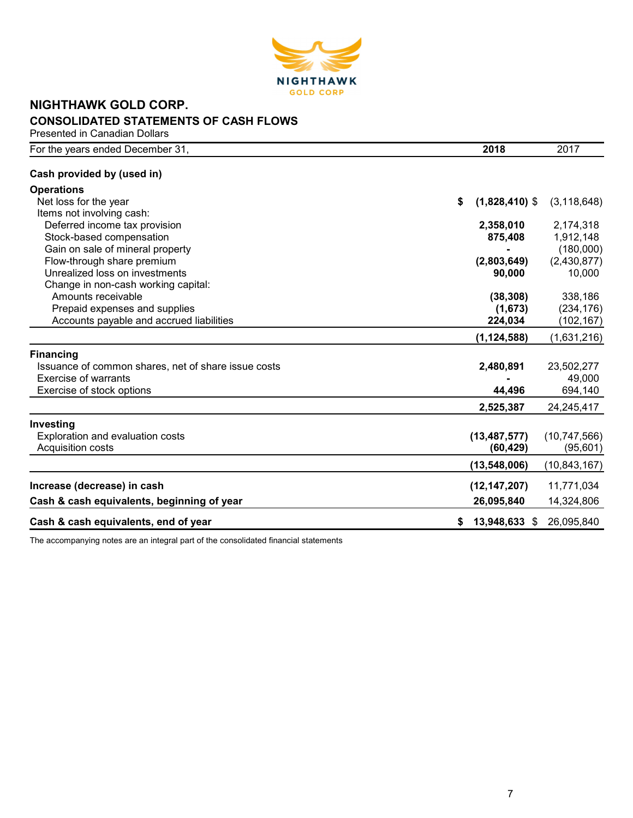

# NIGHTHAWK GOLD CORP. CONSOLIDATED STATEMENTS OF CASH FLOWS

Presented in Canadian Dollars

| For the years ended December 31,                    | 2018                   | 2017           |
|-----------------------------------------------------|------------------------|----------------|
| Cash provided by (used in)                          |                        |                |
| <b>Operations</b>                                   |                        |                |
| Net loss for the year                               | \$<br>$(1,828,410)$ \$ | (3, 118, 648)  |
| Items not involving cash:                           |                        |                |
| Deferred income tax provision                       | 2,358,010              | 2,174,318      |
| Stock-based compensation                            | 875,408                | 1,912,148      |
| Gain on sale of mineral property                    |                        | (180,000)      |
| Flow-through share premium                          | (2,803,649)            | (2,430,877)    |
| Unrealized loss on investments                      | 90,000                 | 10,000         |
| Change in non-cash working capital:                 |                        |                |
| Amounts receivable                                  | (38, 308)              | 338,186        |
| Prepaid expenses and supplies                       | (1,673)                | (234, 176)     |
| Accounts payable and accrued liabilities            | 224,034                | (102, 167)     |
|                                                     | (1, 124, 588)          | (1,631,216)    |
| <b>Financing</b>                                    |                        |                |
| Issuance of common shares, net of share issue costs | 2,480,891              | 23,502,277     |
| <b>Exercise of warrants</b>                         |                        | 49,000         |
| Exercise of stock options                           | 44,496                 | 694,140        |
|                                                     | 2,525,387              | 24,245,417     |
| Investing                                           |                        |                |
| Exploration and evaluation costs                    | (13, 487, 577)         | (10,747,566)   |
| Acquisition costs                                   | (60, 429)              | (95, 601)      |
|                                                     | (13,548,006)           | (10, 843, 167) |
| Increase (decrease) in cash                         | (12, 147, 207)         | 11,771,034     |
|                                                     |                        |                |
| Cash & cash equivalents, beginning of year          | 26,095,840             | 14,324,806     |
| Cash & cash equivalents, end of year                | 13,948,633 \$<br>\$    | 26,095,840     |

The accompanying notes are an integral part of the consolidated financial statements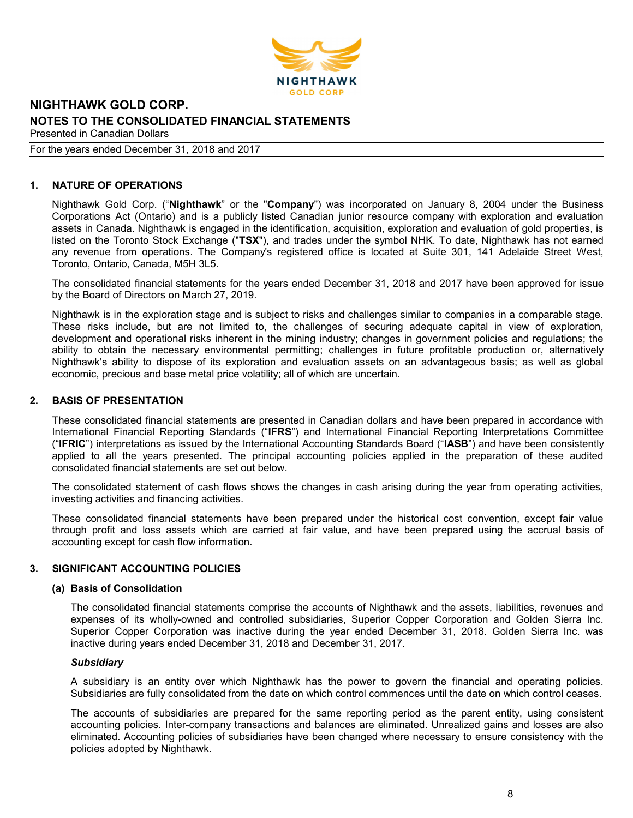

### For the years ended December 31, 2018 and 2017

## 1. NATURE OF OPERATIONS

Nighthawk Gold Corp. ("Nighthawk" or the "Company") was incorporated on January 8, 2004 under the Business Corporations Act (Ontario) and is a publicly listed Canadian junior resource company with exploration and evaluation assets in Canada. Nighthawk is engaged in the identification, acquisition, exploration and evaluation of gold properties, is listed on the Toronto Stock Exchange ("TSX"), and trades under the symbol NHK. To date, Nighthawk has not earned any revenue from operations. The Company's registered office is located at Suite 301, 141 Adelaide Street West, Toronto, Ontario, Canada, M5H 3L5.

The consolidated financial statements for the years ended December 31, 2018 and 2017 have been approved for issue by the Board of Directors on March 27, 2019.

Nighthawk is in the exploration stage and is subject to risks and challenges similar to companies in a comparable stage. These risks include, but are not limited to, the challenges of securing adequate capital in view of exploration, development and operational risks inherent in the mining industry; changes in government policies and regulations; the ability to obtain the necessary environmental permitting; challenges in future profitable production or, alternatively Nighthawk's ability to dispose of its exploration and evaluation assets on an advantageous basis; as well as global economic, precious and base metal price volatility; all of which are uncertain.

## 2. BASIS OF PRESENTATION

These consolidated financial statements are presented in Canadian dollars and have been prepared in accordance with International Financial Reporting Standards ("IFRS") and International Financial Reporting Interpretations Committee ("IFRIC") interpretations as issued by the International Accounting Standards Board ("IASB") and have been consistently applied to all the years presented. The principal accounting policies applied in the preparation of these audited consolidated financial statements are set out below.

The consolidated statement of cash flows shows the changes in cash arising during the year from operating activities, investing activities and financing activities.

These consolidated financial statements have been prepared under the historical cost convention, except fair value through profit and loss assets which are carried at fair value, and have been prepared using the accrual basis of accounting except for cash flow information.

## 3. SIGNIFICANT ACCOUNTING POLICIES

#### (a) Basis of Consolidation

The consolidated financial statements comprise the accounts of Nighthawk and the assets, liabilities, revenues and expenses of its wholly-owned and controlled subsidiaries, Superior Copper Corporation and Golden Sierra Inc. Superior Copper Corporation was inactive during the year ended December 31, 2018. Golden Sierra Inc. was inactive during years ended December 31, 2018 and December 31, 2017.

#### **Subsidiary**

A subsidiary is an entity over which Nighthawk has the power to govern the financial and operating policies. Subsidiaries are fully consolidated from the date on which control commences until the date on which control ceases.

The accounts of subsidiaries are prepared for the same reporting period as the parent entity, using consistent accounting policies. Inter-company transactions and balances are eliminated. Unrealized gains and losses are also eliminated. Accounting policies of subsidiaries have been changed where necessary to ensure consistency with the policies adopted by Nighthawk.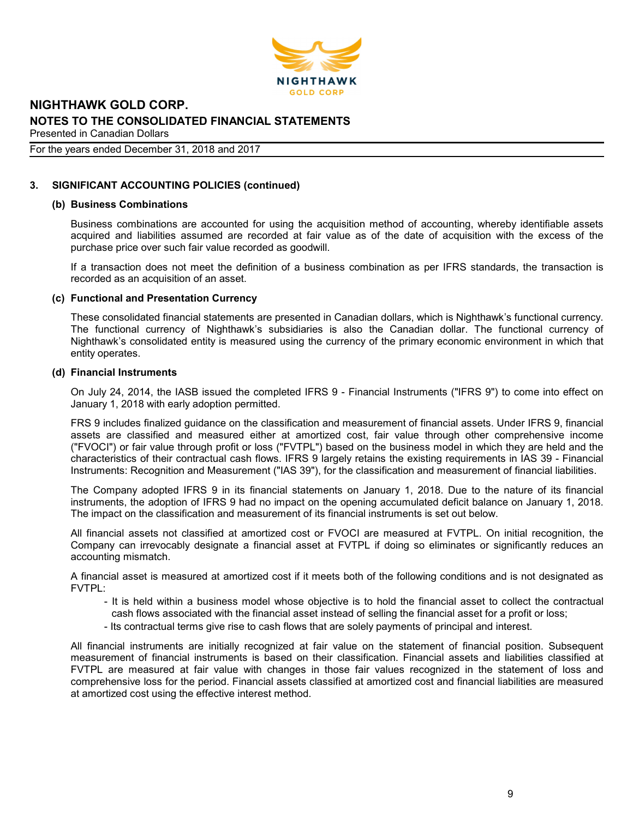

## For the years ended December 31, 2018 and 2017

## 3. SIGNIFICANT ACCOUNTING POLICIES (continued)

### (b) Business Combinations

Business combinations are accounted for using the acquisition method of accounting, whereby identifiable assets acquired and liabilities assumed are recorded at fair value as of the date of acquisition with the excess of the purchase price over such fair value recorded as goodwill.

If a transaction does not meet the definition of a business combination as per IFRS standards, the transaction is recorded as an acquisition of an asset.

### (c) Functional and Presentation Currency

These consolidated financial statements are presented in Canadian dollars, which is Nighthawk's functional currency. The functional currency of Nighthawk's subsidiaries is also the Canadian dollar. The functional currency of Nighthawk's consolidated entity is measured using the currency of the primary economic environment in which that entity operates.

### (d) Financial Instruments

On July 24, 2014, the IASB issued the completed IFRS 9 - Financial Instruments ("IFRS 9") to come into effect on January 1, 2018 with early adoption permitted.

FRS 9 includes finalized guidance on the classification and measurement of financial assets. Under IFRS 9, financial assets are classified and measured either at amortized cost, fair value through other comprehensive income ("FVOCI") or fair value through profit or loss ("FVTPL") based on the business model in which they are held and the characteristics of their contractual cash flows. IFRS 9 largely retains the existing requirements in IAS 39 - Financial Instruments: Recognition and Measurement ("IAS 39"), for the classification and measurement of financial liabilities.

The Company adopted IFRS 9 in its financial statements on January 1, 2018. Due to the nature of its financial instruments, the adoption of IFRS 9 had no impact on the opening accumulated deficit balance on January 1, 2018. The impact on the classification and measurement of its financial instruments is set out below.

All financial assets not classified at amortized cost or FVOCI are measured at FVTPL. On initial recognition, the Company can irrevocably designate a financial asset at FVTPL if doing so eliminates or significantly reduces an accounting mismatch.

A financial asset is measured at amortized cost if it meets both of the following conditions and is not designated as FVTPL:

- It is held within a business model whose objective is to hold the financial asset to collect the contractual cash flows associated with the financial asset instead of selling the financial asset for a profit or loss;
- Its contractual terms give rise to cash flows that are solely payments of principal and interest.

All financial instruments are initially recognized at fair value on the statement of financial position. Subsequent measurement of financial instruments is based on their classification. Financial assets and liabilities classified at FVTPL are measured at fair value with changes in those fair values recognized in the statement of loss and comprehensive loss for the period. Financial assets classified at amortized cost and financial liabilities are measured at amortized cost using the effective interest method.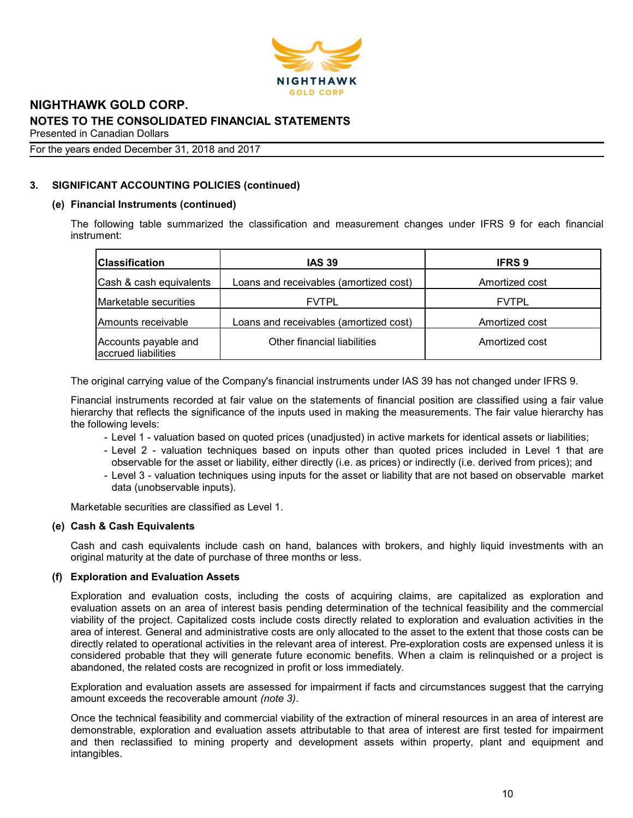

## For the years ended December 31, 2018 and 2017

## 3. SIGNIFICANT ACCOUNTING POLICIES (continued)

## (e) Financial Instruments (continued)

The following table summarized the classification and measurement changes under IFRS 9 for each financial instrument:

| Classification                              | <b>IAS 39</b>                          | <b>IFRS 9</b>  |
|---------------------------------------------|----------------------------------------|----------------|
| Cash & cash equivalents                     | Loans and receivables (amortized cost) | Amortized cost |
| lMarketable securities                      | <b>FVTPL</b>                           | <b>FVTPL</b>   |
| Amounts receivable                          | Loans and receivables (amortized cost) | Amortized cost |
| Accounts payable and<br>accrued liabilities | Other financial liabilities            | Amortized cost |

The original carrying value of the Company's financial instruments under IAS 39 has not changed under IFRS 9.

Financial instruments recorded at fair value on the statements of financial position are classified using a fair value hierarchy that reflects the significance of the inputs used in making the measurements. The fair value hierarchy has the following levels:

- Level 1 valuation based on quoted prices (unadjusted) in active markets for identical assets or liabilities;
- Level 2 valuation techniques based on inputs other than quoted prices included in Level 1 that are observable for the asset or liability, either directly (i.e. as prices) or indirectly (i.e. derived from prices); and
- Level 3 valuation techniques using inputs for the asset or liability that are not based on observable market data (unobservable inputs).

Marketable securities are classified as Level 1.

## (e) Cash & Cash Equivalents

Cash and cash equivalents include cash on hand, balances with brokers, and highly liquid investments with an original maturity at the date of purchase of three months or less.

## (f) Exploration and Evaluation Assets

Exploration and evaluation costs, including the costs of acquiring claims, are capitalized as exploration and evaluation assets on an area of interest basis pending determination of the technical feasibility and the commercial viability of the project. Capitalized costs include costs directly related to exploration and evaluation activities in the area of interest. General and administrative costs are only allocated to the asset to the extent that those costs can be directly related to operational activities in the relevant area of interest. Pre-exploration costs are expensed unless it is considered probable that they will generate future economic benefits. When a claim is relinquished or a project is abandoned, the related costs are recognized in profit or loss immediately.

Exploration and evaluation assets are assessed for impairment if facts and circumstances suggest that the carrying amount exceeds the recoverable amount (note 3).

Once the technical feasibility and commercial viability of the extraction of mineral resources in an area of interest are demonstrable, exploration and evaluation assets attributable to that area of interest are first tested for impairment and then reclassified to mining property and development assets within property, plant and equipment and intangibles.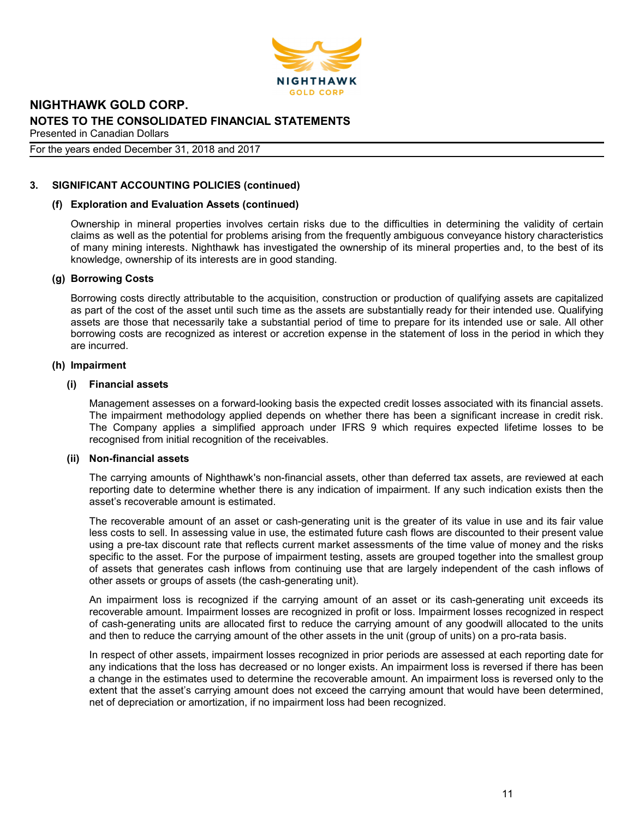

## For the years ended December 31, 2018 and 2017

## 3. SIGNIFICANT ACCOUNTING POLICIES (continued)

## (f) Exploration and Evaluation Assets (continued)

Ownership in mineral properties involves certain risks due to the difficulties in determining the validity of certain claims as well as the potential for problems arising from the frequently ambiguous conveyance history characteristics of many mining interests. Nighthawk has investigated the ownership of its mineral properties and, to the best of its knowledge, ownership of its interests are in good standing.

### (g) Borrowing Costs

Borrowing costs directly attributable to the acquisition, construction or production of qualifying assets are capitalized as part of the cost of the asset until such time as the assets are substantially ready for their intended use. Qualifying assets are those that necessarily take a substantial period of time to prepare for its intended use or sale. All other borrowing costs are recognized as interest or accretion expense in the statement of loss in the period in which they are incurred.

### (h) Impairment

### (i) Financial assets

Management assesses on a forward-looking basis the expected credit losses associated with its financial assets. The impairment methodology applied depends on whether there has been a significant increase in credit risk. The Company applies a simplified approach under IFRS 9 which requires expected lifetime losses to be recognised from initial recognition of the receivables.

#### (ii) Non-financial assets

The carrying amounts of Nighthawk's non-financial assets, other than deferred tax assets, are reviewed at each reporting date to determine whether there is any indication of impairment. If any such indication exists then the asset's recoverable amount is estimated.

The recoverable amount of an asset or cash-generating unit is the greater of its value in use and its fair value less costs to sell. In assessing value in use, the estimated future cash flows are discounted to their present value using a pre-tax discount rate that reflects current market assessments of the time value of money and the risks specific to the asset. For the purpose of impairment testing, assets are grouped together into the smallest group of assets that generates cash inflows from continuing use that are largely independent of the cash inflows of other assets or groups of assets (the cash-generating unit).

An impairment loss is recognized if the carrying amount of an asset or its cash-generating unit exceeds its recoverable amount. Impairment losses are recognized in profit or loss. Impairment losses recognized in respect of cash-generating units are allocated first to reduce the carrying amount of any goodwill allocated to the units and then to reduce the carrying amount of the other assets in the unit (group of units) on a pro-rata basis.

In respect of other assets, impairment losses recognized in prior periods are assessed at each reporting date for any indications that the loss has decreased or no longer exists. An impairment loss is reversed if there has been a change in the estimates used to determine the recoverable amount. An impairment loss is reversed only to the extent that the asset's carrying amount does not exceed the carrying amount that would have been determined, net of depreciation or amortization, if no impairment loss had been recognized.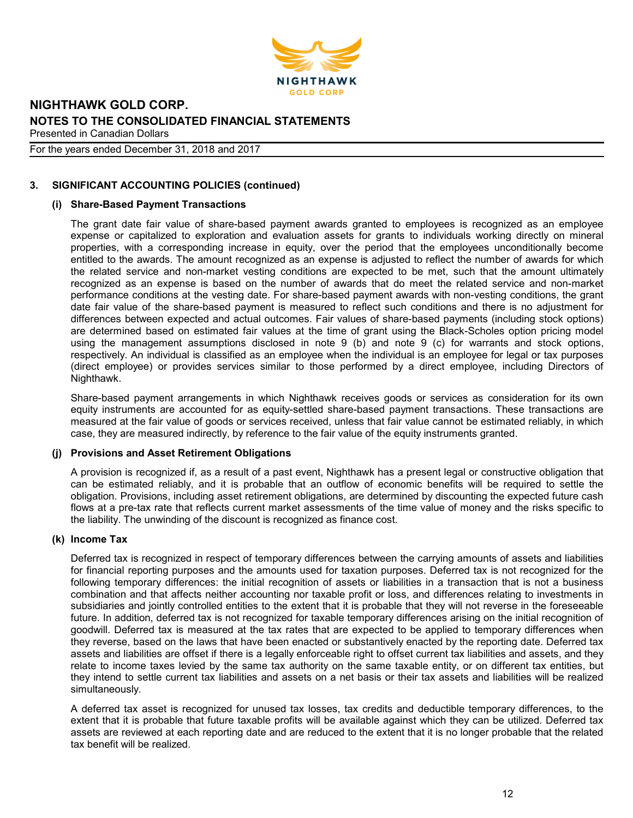

## For the years ended December 31, 2018 and 2017

## 3. SIGNIFICANT ACCOUNTING POLICIES (continued)

## (i) Share-Based Payment Transactions

The grant date fair value of share-based payment awards granted to employees is recognized as an employee expense or capitalized to exploration and evaluation assets for grants to individuals working directly on mineral properties, with a corresponding increase in equity, over the period that the employees unconditionally become entitled to the awards. The amount recognized as an expense is adjusted to reflect the number of awards for which the related service and non-market vesting conditions are expected to be met, such that the amount ultimately recognized as an expense is based on the number of awards that do meet the related service and non-market performance conditions at the vesting date. For share-based payment awards with non-vesting conditions, the grant date fair value of the share-based payment is measured to reflect such conditions and there is no adjustment for differences between expected and actual outcomes. Fair values of share-based payments (including stock options) are determined based on estimated fair values at the time of grant using the Black-Scholes option pricing model using the management assumptions disclosed in note 9 (b) and note 9 (c) for warrants and stock options, respectively. An individual is classified as an employee when the individual is an employee for legal or tax purposes (direct employee) or provides services similar to those performed by a direct employee, including Directors of Nighthawk.

Share-based payment arrangements in which Nighthawk receives goods or services as consideration for its own equity instruments are accounted for as equity-settled share-based payment transactions. These transactions are measured at the fair value of goods or services received, unless that fair value cannot be estimated reliably, in which case, they are measured indirectly, by reference to the fair value of the equity instruments granted.

### (j) Provisions and Asset Retirement Obligations

A provision is recognized if, as a result of a past event, Nighthawk has a present legal or constructive obligation that can be estimated reliably, and it is probable that an outflow of economic benefits will be required to settle the obligation. Provisions, including asset retirement obligations, are determined by discounting the expected future cash flows at a pre-tax rate that reflects current market assessments of the time value of money and the risks specific to the liability. The unwinding of the discount is recognized as finance cost.

#### (k) Income Tax

Deferred tax is recognized in respect of temporary differences between the carrying amounts of assets and liabilities for financial reporting purposes and the amounts used for taxation purposes. Deferred tax is not recognized for the following temporary differences: the initial recognition of assets or liabilities in a transaction that is not a business combination and that affects neither accounting nor taxable profit or loss, and differences relating to investments in subsidiaries and jointly controlled entities to the extent that it is probable that they will not reverse in the foreseeable future. In addition, deferred tax is not recognized for taxable temporary differences arising on the initial recognition of goodwill. Deferred tax is measured at the tax rates that are expected to be applied to temporary differences when they reverse, based on the laws that have been enacted or substantively enacted by the reporting date. Deferred tax assets and liabilities are offset if there is a legally enforceable right to offset current tax liabilities and assets, and they relate to income taxes levied by the same tax authority on the same taxable entity, or on different tax entities, but they intend to settle current tax liabilities and assets on a net basis or their tax assets and liabilities will be realized simultaneously.

A deferred tax asset is recognized for unused tax losses, tax credits and deductible temporary differences, to the extent that it is probable that future taxable profits will be available against which they can be utilized. Deferred tax assets are reviewed at each reporting date and are reduced to the extent that it is no longer probable that the related tax benefit will be realized.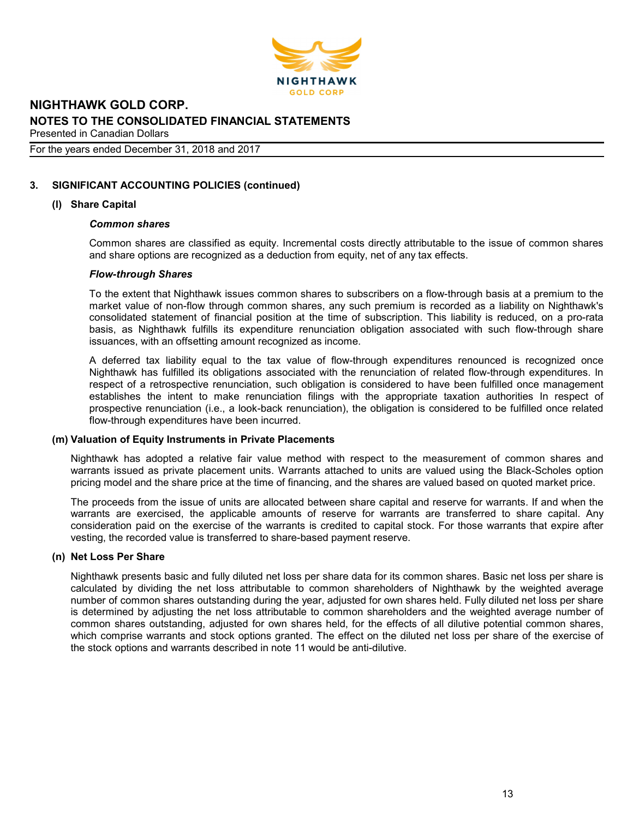

### For the years ended December 31, 2018 and 2017

## 3. SIGNIFICANT ACCOUNTING POLICIES (continued)

### (l) Share Capital

### Common shares

Common shares are classified as equity. Incremental costs directly attributable to the issue of common shares and share options are recognized as a deduction from equity, net of any tax effects.

#### Flow-through Shares

To the extent that Nighthawk issues common shares to subscribers on a flow-through basis at a premium to the market value of non-flow through common shares, any such premium is recorded as a liability on Nighthawk's consolidated statement of financial position at the time of subscription. This liability is reduced, on a pro-rata basis, as Nighthawk fulfills its expenditure renunciation obligation associated with such flow-through share issuances, with an offsetting amount recognized as income.

A deferred tax liability equal to the tax value of flow-through expenditures renounced is recognized once Nighthawk has fulfilled its obligations associated with the renunciation of related flow-through expenditures. In respect of a retrospective renunciation, such obligation is considered to have been fulfilled once management establishes the intent to make renunciation filings with the appropriate taxation authorities In respect of prospective renunciation (i.e., a look-back renunciation), the obligation is considered to be fulfilled once related flow-through expenditures have been incurred.

#### (m) Valuation of Equity Instruments in Private Placements

Nighthawk has adopted a relative fair value method with respect to the measurement of common shares and warrants issued as private placement units. Warrants attached to units are valued using the Black-Scholes option pricing model and the share price at the time of financing, and the shares are valued based on quoted market price.

The proceeds from the issue of units are allocated between share capital and reserve for warrants. If and when the warrants are exercised, the applicable amounts of reserve for warrants are transferred to share capital. Any consideration paid on the exercise of the warrants is credited to capital stock. For those warrants that expire after vesting, the recorded value is transferred to share-based payment reserve.

### (n) Net Loss Per Share

Nighthawk presents basic and fully diluted net loss per share data for its common shares. Basic net loss per share is calculated by dividing the net loss attributable to common shareholders of Nighthawk by the weighted average number of common shares outstanding during the year, adjusted for own shares held. Fully diluted net loss per share is determined by adjusting the net loss attributable to common shareholders and the weighted average number of common shares outstanding, adjusted for own shares held, for the effects of all dilutive potential common shares, which comprise warrants and stock options granted. The effect on the diluted net loss per share of the exercise of the stock options and warrants described in note 11 would be anti-dilutive.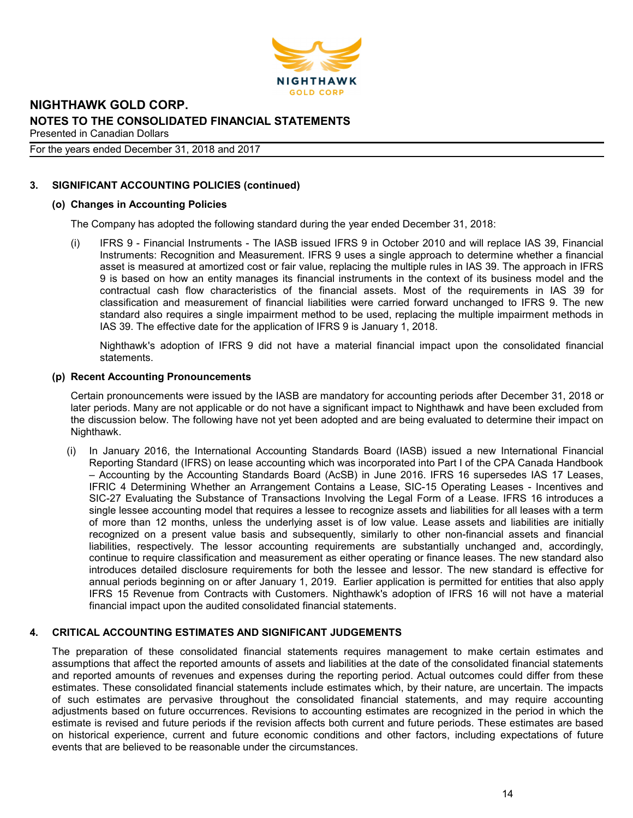

## For the years ended December 31, 2018 and 2017

## 3. SIGNIFICANT ACCOUNTING POLICIES (continued)

## (o) Changes in Accounting Policies

The Company has adopted the following standard during the year ended December 31, 2018:

(i) IFRS 9 - Financial Instruments - The IASB issued IFRS 9 in October 2010 and will replace IAS 39, Financial Instruments: Recognition and Measurement. IFRS 9 uses a single approach to determine whether a financial asset is measured at amortized cost or fair value, replacing the multiple rules in IAS 39. The approach in IFRS 9 is based on how an entity manages its financial instruments in the context of its business model and the contractual cash flow characteristics of the financial assets. Most of the requirements in IAS 39 for classification and measurement of financial liabilities were carried forward unchanged to IFRS 9. The new standard also requires a single impairment method to be used, replacing the multiple impairment methods in IAS 39. The effective date for the application of IFRS 9 is January 1, 2018.

Nighthawk's adoption of IFRS 9 did not have a material financial impact upon the consolidated financial statements.

#### (p) Recent Accounting Pronouncements

Certain pronouncements were issued by the IASB are mandatory for accounting periods after December 31, 2018 or later periods. Many are not applicable or do not have a significant impact to Nighthawk and have been excluded from the discussion below. The following have not yet been adopted and are being evaluated to determine their impact on Nighthawk.

(i) In January 2016, the International Accounting Standards Board (IASB) issued a new International Financial Reporting Standard (IFRS) on lease accounting which was incorporated into Part I of the CPA Canada Handbook – Accounting by the Accounting Standards Board (AcSB) in June 2016. IFRS 16 supersedes IAS 17 Leases, IFRIC 4 Determining Whether an Arrangement Contains a Lease, SIC-15 Operating Leases - Incentives and SIC-27 Evaluating the Substance of Transactions Involving the Legal Form of a Lease. IFRS 16 introduces a single lessee accounting model that requires a lessee to recognize assets and liabilities for all leases with a term of more than 12 months, unless the underlying asset is of low value. Lease assets and liabilities are initially recognized on a present value basis and subsequently, similarly to other non-financial assets and financial liabilities, respectively. The lessor accounting requirements are substantially unchanged and, accordingly, continue to require classification and measurement as either operating or finance leases. The new standard also introduces detailed disclosure requirements for both the lessee and lessor. The new standard is effective for annual periods beginning on or after January 1, 2019. Earlier application is permitted for entities that also apply IFRS 15 Revenue from Contracts with Customers. Nighthawk's adoption of IFRS 16 will not have a material financial impact upon the audited consolidated financial statements.

## 4. CRITICAL ACCOUNTING ESTIMATES AND SIGNIFICANT JUDGEMENTS

The preparation of these consolidated financial statements requires management to make certain estimates and assumptions that affect the reported amounts of assets and liabilities at the date of the consolidated financial statements and reported amounts of revenues and expenses during the reporting period. Actual outcomes could differ from these estimates. These consolidated financial statements include estimates which, by their nature, are uncertain. The impacts of such estimates are pervasive throughout the consolidated financial statements, and may require accounting adjustments based on future occurrences. Revisions to accounting estimates are recognized in the period in which the estimate is revised and future periods if the revision affects both current and future periods. These estimates are based on historical experience, current and future economic conditions and other factors, including expectations of future events that are believed to be reasonable under the circumstances.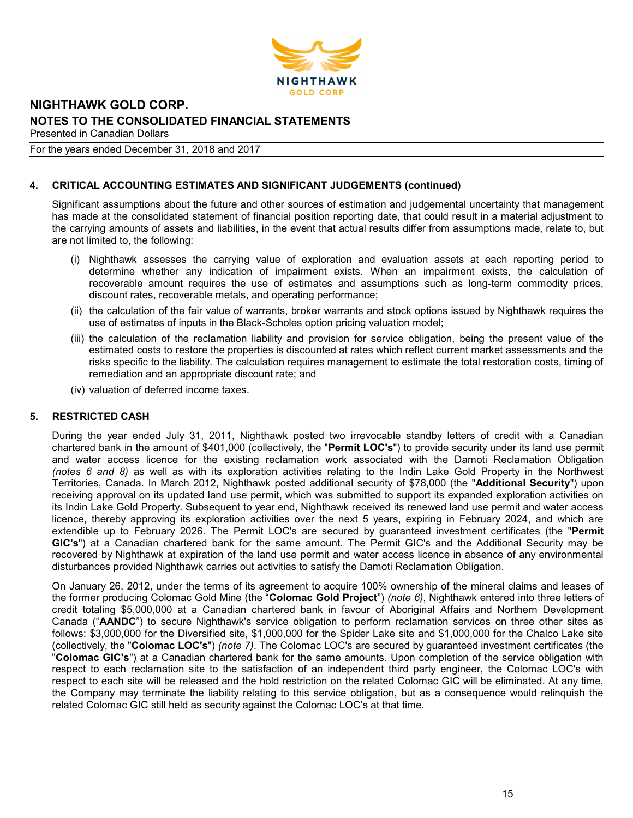

### For the years ended December 31, 2018 and 2017

## 4. CRITICAL ACCOUNTING ESTIMATES AND SIGNIFICANT JUDGEMENTS (continued)

Significant assumptions about the future and other sources of estimation and judgemental uncertainty that management has made at the consolidated statement of financial position reporting date, that could result in a material adjustment to the carrying amounts of assets and liabilities, in the event that actual results differ from assumptions made, relate to, but are not limited to, the following:

- (i) Nighthawk assesses the carrying value of exploration and evaluation assets at each reporting period to determine whether any indication of impairment exists. When an impairment exists, the calculation of recoverable amount requires the use of estimates and assumptions such as long-term commodity prices, discount rates, recoverable metals, and operating performance;
- (ii) the calculation of the fair value of warrants, broker warrants and stock options issued by Nighthawk requires the use of estimates of inputs in the Black-Scholes option pricing valuation model;
- (iii) the calculation of the reclamation liability and provision for service obligation, being the present value of the estimated costs to restore the properties is discounted at rates which reflect current market assessments and the risks specific to the liability. The calculation requires management to estimate the total restoration costs, timing of remediation and an appropriate discount rate; and
- (iv) valuation of deferred income taxes.

## 5. RESTRICTED CASH

During the year ended July 31, 2011, Nighthawk posted two irrevocable standby letters of credit with a Canadian chartered bank in the amount of \$401,000 (collectively, the "Permit LOC's") to provide security under its land use permit and water access licence for the existing reclamation work associated with the Damoti Reclamation Obligation (notes 6 and 8) as well as with its exploration activities relating to the Indin Lake Gold Property in the Northwest Territories, Canada. In March 2012, Nighthawk posted additional security of \$78,000 (the "Additional Security") upon receiving approval on its updated land use permit, which was submitted to support its expanded exploration activities on its Indin Lake Gold Property. Subsequent to year end, Nighthawk received its renewed land use permit and water access licence, thereby approving its exploration activities over the next 5 years, expiring in February 2024, and which are extendible up to February 2026. The Permit LOC's are secured by guaranteed investment certificates (the "Permit GIC's") at a Canadian chartered bank for the same amount. The Permit GIC's and the Additional Security may be recovered by Nighthawk at expiration of the land use permit and water access licence in absence of any environmental disturbances provided Nighthawk carries out activities to satisfy the Damoti Reclamation Obligation.

On January 26, 2012, under the terms of its agreement to acquire 100% ownership of the mineral claims and leases of the former producing Colomac Gold Mine (the "Colomac Gold Project") (note 6), Nighthawk entered into three letters of credit totaling \$5,000,000 at a Canadian chartered bank in favour of Aboriginal Affairs and Northern Development Canada ("AANDC") to secure Nighthawk's service obligation to perform reclamation services on three other sites as follows: \$3,000,000 for the Diversified site, \$1,000,000 for the Spider Lake site and \$1,000,000 for the Chalco Lake site (collectively, the "Colomac LOC's") (note 7). The Colomac LOC's are secured by guaranteed investment certificates (the "Colomac GIC's") at a Canadian chartered bank for the same amounts. Upon completion of the service obligation with respect to each reclamation site to the satisfaction of an independent third party engineer, the Colomac LOC's with respect to each site will be released and the hold restriction on the related Colomac GIC will be eliminated. At any time, the Company may terminate the liability relating to this service obligation, but as a consequence would relinquish the related Colomac GIC still held as security against the Colomac LOC's at that time.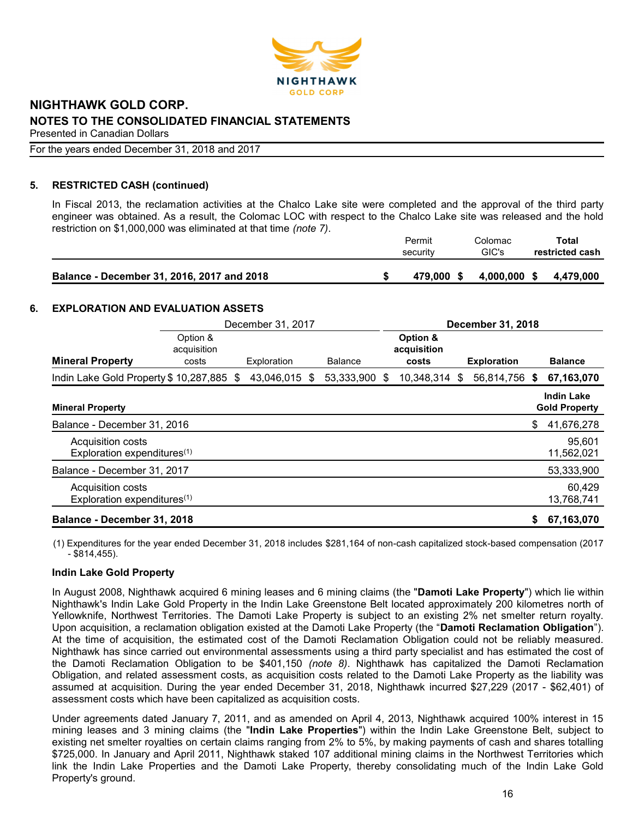

# For the years ended December 31, 2018 and 2017

## 5. RESTRICTED CASH (continued)

In Fiscal 2013, the reclamation activities at the Chalco Lake site were completed and the approval of the third party engineer was obtained. As a result, the Colomac LOC with respect to the Chalco Lake site was released and the hold restriction on \$1,000,000 was eliminated at that time (note 7).

|                                            | Permit<br>security | Colomac<br>GIC's | Total<br>restricted cash |
|--------------------------------------------|--------------------|------------------|--------------------------|
| Balance - December 31, 2016, 2017 and 2018 | 479,000 \$         | 4,000,000 \$     | 4,479,000                |

## 6. EXPLORATION AND EVALUATION ASSETS

|                                                              | December 31, 2017                |               |                |  | December 31, 2018                |  |                    |    |                                           |  |
|--------------------------------------------------------------|----------------------------------|---------------|----------------|--|----------------------------------|--|--------------------|----|-------------------------------------------|--|
| <b>Mineral Property</b>                                      | Option &<br>acquisition<br>costs | Exploration   | <b>Balance</b> |  | Option &<br>acquisition<br>costs |  | <b>Exploration</b> |    | <b>Balance</b>                            |  |
| Indin Lake Gold Property \$10,287,885 \$                     |                                  | 43,046,015 \$ | 53,333,900 \$  |  | 10,348,314 \$                    |  | 56,814,756 \$      |    | 67,163,070                                |  |
| <b>Mineral Property</b>                                      |                                  |               |                |  |                                  |  |                    |    | <b>Indin Lake</b><br><b>Gold Property</b> |  |
| Balance - December 31, 2016                                  |                                  |               |                |  |                                  |  |                    | \$ | 41,676,278                                |  |
| Acquisition costs<br>Exploration expenditures <sup>(1)</sup> |                                  |               |                |  |                                  |  |                    |    | 95,601<br>11,562,021                      |  |
| Balance - December 31, 2017                                  |                                  |               |                |  |                                  |  |                    |    | 53,333,900                                |  |
| Acquisition costs<br>Exploration expenditures <sup>(1)</sup> |                                  |               |                |  |                                  |  |                    |    | 60,429<br>13,768,741                      |  |
| Balance - December 31, 2018                                  |                                  |               |                |  |                                  |  |                    | S  | 67,163,070                                |  |

(1) Expenditures for the year ended December 31, 2018 includes \$281,164 of non-cash capitalized stock-based compensation (2017 - \$814,455).

## Indin Lake Gold Property

In August 2008, Nighthawk acquired 6 mining leases and 6 mining claims (the "Damoti Lake Property") which lie within Nighthawk's Indin Lake Gold Property in the Indin Lake Greenstone Belt located approximately 200 kilometres north of Yellowknife, Northwest Territories. The Damoti Lake Property is subject to an existing 2% net smelter return royalty. Upon acquisition, a reclamation obligation existed at the Damoti Lake Property (the "Damoti Reclamation Obligation"). At the time of acquisition, the estimated cost of the Damoti Reclamation Obligation could not be reliably measured. Nighthawk has since carried out environmental assessments using a third party specialist and has estimated the cost of the Damoti Reclamation Obligation to be \$401,150 (note 8). Nighthawk has capitalized the Damoti Reclamation Obligation, and related assessment costs, as acquisition costs related to the Damoti Lake Property as the liability was assumed at acquisition. During the year ended December 31, 2018, Nighthawk incurred \$27,229 (2017 - \$62,401) of assessment costs which have been capitalized as acquisition costs.

Under agreements dated January 7, 2011, and as amended on April 4, 2013, Nighthawk acquired 100% interest in 15 mining leases and 3 mining claims (the "Indin Lake Properties") within the Indin Lake Greenstone Belt, subject to existing net smelter royalties on certain claims ranging from 2% to 5%, by making payments of cash and shares totalling \$725,000. In January and April 2011, Nighthawk staked 107 additional mining claims in the Northwest Territories which link the Indin Lake Properties and the Damoti Lake Property, thereby consolidating much of the Indin Lake Gold Property's ground.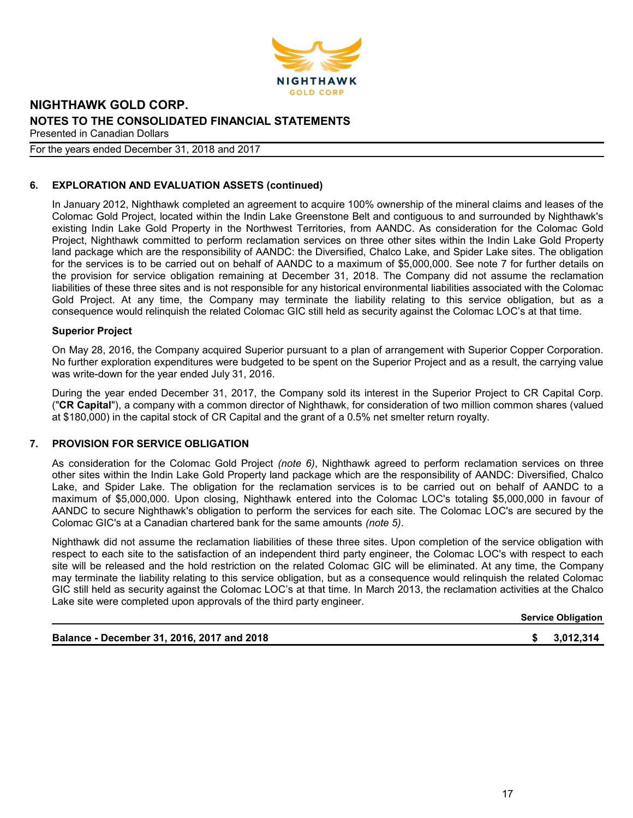

## For the years ended December 31, 2018 and 2017

## 6. EXPLORATION AND EVALUATION ASSETS (continued)

In January 2012, Nighthawk completed an agreement to acquire 100% ownership of the mineral claims and leases of the Colomac Gold Project, located within the Indin Lake Greenstone Belt and contiguous to and surrounded by Nighthawk's existing Indin Lake Gold Property in the Northwest Territories, from AANDC. As consideration for the Colomac Gold Project, Nighthawk committed to perform reclamation services on three other sites within the Indin Lake Gold Property land package which are the responsibility of AANDC: the Diversified, Chalco Lake, and Spider Lake sites. The obligation for the services is to be carried out on behalf of AANDC to a maximum of \$5,000,000. See note 7 for further details on the provision for service obligation remaining at December 31, 2018. The Company did not assume the reclamation liabilities of these three sites and is not responsible for any historical environmental liabilities associated with the Colomac Gold Project. At any time, the Company may terminate the liability relating to this service obligation, but as a consequence would relinquish the related Colomac GIC still held as security against the Colomac LOC's at that time.

## Superior Project

On May 28, 2016, the Company acquired Superior pursuant to a plan of arrangement with Superior Copper Corporation. No further exploration expenditures were budgeted to be spent on the Superior Project and as a result, the carrying value was write-down for the year ended July 31, 2016.

During the year ended December 31, 2017, the Company sold its interest in the Superior Project to CR Capital Corp. ("CR Capital"), a company with a common director of Nighthawk, for consideration of two million common shares (valued at \$180,000) in the capital stock of CR Capital and the grant of a 0.5% net smelter return royalty.

# 7. PROVISION FOR SERVICE OBLIGATION

As consideration for the Colomac Gold Project (note 6), Nighthawk agreed to perform reclamation services on three other sites within the Indin Lake Gold Property land package which are the responsibility of AANDC: Diversified, Chalco Lake, and Spider Lake. The obligation for the reclamation services is to be carried out on behalf of AANDC to a maximum of \$5,000,000. Upon closing, Nighthawk entered into the Colomac LOC's totaling \$5,000,000 in favour of AANDC to secure Nighthawk's obligation to perform the services for each site. The Colomac LOC's are secured by the Colomac GIC's at a Canadian chartered bank for the same amounts (note 5).

Nighthawk did not assume the reclamation liabilities of these three sites. Upon completion of the service obligation with respect to each site to the satisfaction of an independent third party engineer, the Colomac LOC's with respect to each site will be released and the hold restriction on the related Colomac GIC will be eliminated. At any time, the Company may terminate the liability relating to this service obligation, but as a consequence would relinquish the related Colomac GIC still held as security against the Colomac LOC's at that time. In March 2013, the reclamation activities at the Chalco Lake site were completed upon approvals of the third party engineer.

Service Obligation

Balance - December 31, 2016, 2017 and 2018 **\$ 3,012,314** \$ 3,012,314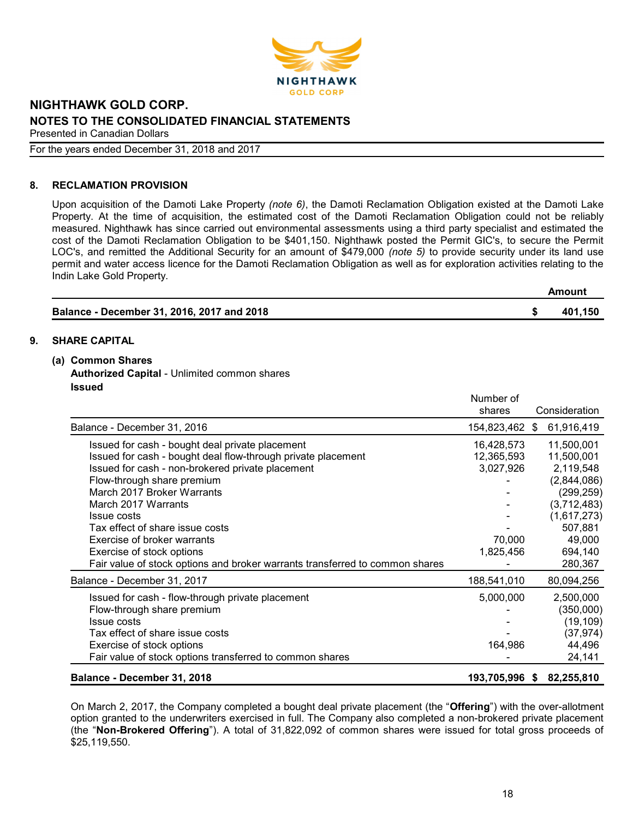

For the years ended December 31, 2018 and 2017

## 8. RECLAMATION PROVISION

Upon acquisition of the Damoti Lake Property (note 6), the Damoti Reclamation Obligation existed at the Damoti Lake Property. At the time of acquisition, the estimated cost of the Damoti Reclamation Obligation could not be reliably measured. Nighthawk has since carried out environmental assessments using a third party specialist and estimated the cost of the Damoti Reclamation Obligation to be \$401,150. Nighthawk posted the Permit GIC's, to secure the Permit LOC's, and remitted the Additional Security for an amount of \$479,000 *(note 5)* to provide security under its land use permit and water access licence for the Damoti Reclamation Obligation as well as for exploration activities relating to the Indin Lake Gold Property.

|                                            | Amount  |
|--------------------------------------------|---------|
| Balance - December 31, 2016, 2017 and 2018 | 401.150 |

## 9. SHARE CAPITAL

(a) Common Shares

Authorized Capital - Unlimited common shares Issued

| 44,496<br>24,141 |
|------------------|
|                  |
|                  |
| (37, 974)        |
| (19, 109)        |
| (350,000)        |
| 2,500,000        |
| 80,094,256       |
| 280,367          |
| 694,140          |
| 49,000           |
| 507,881          |
| (1,617,273)      |
| (3,712,483)      |
| (299, 259)       |
| (2,844,086)      |
| 2,119,548        |
| 11,500,001       |
| 11,500,001       |
| 61,916,419       |
| Consideration    |
|                  |

On March 2, 2017, the Company completed a bought deal private placement (the "Offering") with the over-allotment option granted to the underwriters exercised in full. The Company also completed a non-brokered private placement (the "Non-Brokered Offering"). A total of 31,822,092 of common shares were issued for total gross proceeds of \$25,119,550.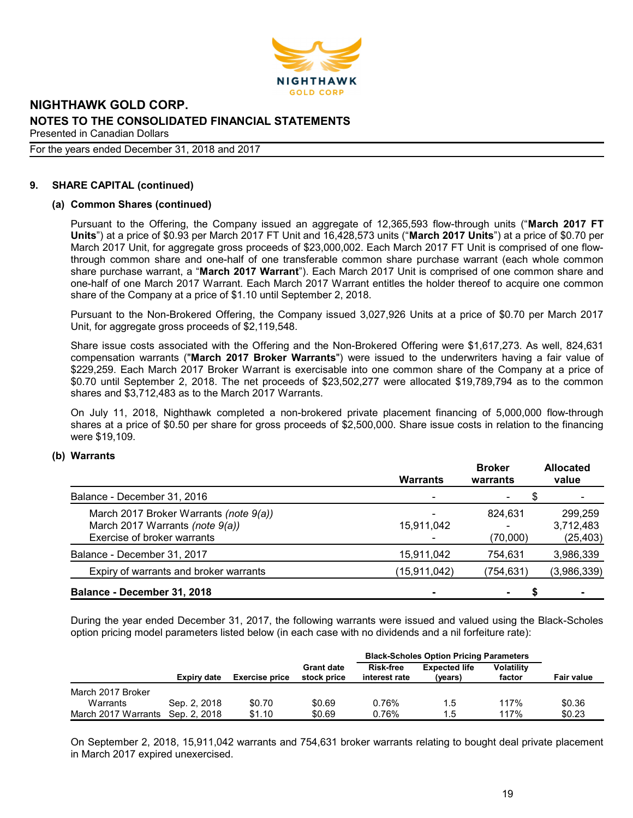

#### For the years ended December 31, 2018 and 2017

### 9. SHARE CAPITAL (continued)

## (a) Common Shares (continued)

Pursuant to the Offering, the Company issued an aggregate of 12,365,593 flow-through units ("March 2017 FT Units") at a price of \$0.93 per March 2017 FT Unit and 16,428,573 units ("March 2017 Units") at a price of \$0.70 per March 2017 Unit, for aggregate gross proceeds of \$23,000,002. Each March 2017 FT Unit is comprised of one flowthrough common share and one-half of one transferable common share purchase warrant (each whole common share purchase warrant, a "March 2017 Warrant"). Each March 2017 Unit is comprised of one common share and one-half of one March 2017 Warrant. Each March 2017 Warrant entitles the holder thereof to acquire one common share of the Company at a price of \$1.10 until September 2, 2018.

Pursuant to the Non-Brokered Offering, the Company issued 3,027,926 Units at a price of \$0.70 per March 2017 Unit, for aggregate gross proceeds of \$2,119,548.

Share issue costs associated with the Offering and the Non-Brokered Offering were \$1,617,273. As well, 824,631 compensation warrants ("March 2017 Broker Warrants") were issued to the underwriters having a fair value of \$229,259. Each March 2017 Broker Warrant is exercisable into one common share of the Company at a price of \$0.70 until September 2, 2018. The net proceeds of \$23,502,277 were allocated \$19,789,794 as to the common shares and \$3,712,483 as to the March 2017 Warrants.

On July 11, 2018, Nighthawk completed a non-brokered private placement financing of 5,000,000 flow-through shares at a price of \$0.50 per share for gross proceeds of \$2,500,000. Share issue costs in relation to the financing were \$19,109.

## (b) Warrants

|                                                                                                          | <b>Warrants</b> | <b>Broker</b><br>warrants | <b>Allocated</b><br>value         |  |  |
|----------------------------------------------------------------------------------------------------------|-----------------|---------------------------|-----------------------------------|--|--|
| Balance - December 31, 2016                                                                              |                 |                           |                                   |  |  |
| March 2017 Broker Warrants (note 9(a))<br>March 2017 Warrants (note 9(a))<br>Exercise of broker warrants | 15,911,042      | 824.631<br>-<br>(70,000)  | 299.259<br>3,712,483<br>(25, 403) |  |  |
| Balance - December 31, 2017                                                                              | 15,911,042      | 754,631                   | 3,986,339                         |  |  |
| Expiry of warrants and broker warrants                                                                   | (15, 911, 042)  | (754,631)                 | (3,986,339)                       |  |  |
| Balance - December 31, 2018                                                                              |                 |                           |                                   |  |  |

During the year ended December 31, 2017, the following warrants were issued and valued using the Black-Scholes option pricing model parameters listed below (in each case with no dividends and a nil forfeiture rate):

|                     |              |                       |                                  | <b>Black-Scholes Option Pricing Parameters</b> |                                 |                             |                   |
|---------------------|--------------|-----------------------|----------------------------------|------------------------------------------------|---------------------------------|-----------------------------|-------------------|
|                     | Expiry date  | <b>Exercise price</b> | <b>Grant date</b><br>stock price | <b>Risk-free</b><br>interest rate              | <b>Expected life</b><br>(vears) | <b>Volatility</b><br>factor | <b>Fair value</b> |
| March 2017 Broker   |              |                       |                                  |                                                |                                 |                             |                   |
| Warrants            | Sep. 2, 2018 | \$0.70                | \$0.69                           | 0.76%                                          | 1.5                             | 117%                        | \$0.36            |
| March 2017 Warrants | Sep. 2, 2018 | \$1.10                | \$0.69                           | 0.76%                                          | 1.5                             | 117%                        | \$0.23            |

On September 2, 2018, 15,911,042 warrants and 754,631 broker warrants relating to bought deal private placement in March 2017 expired unexercised.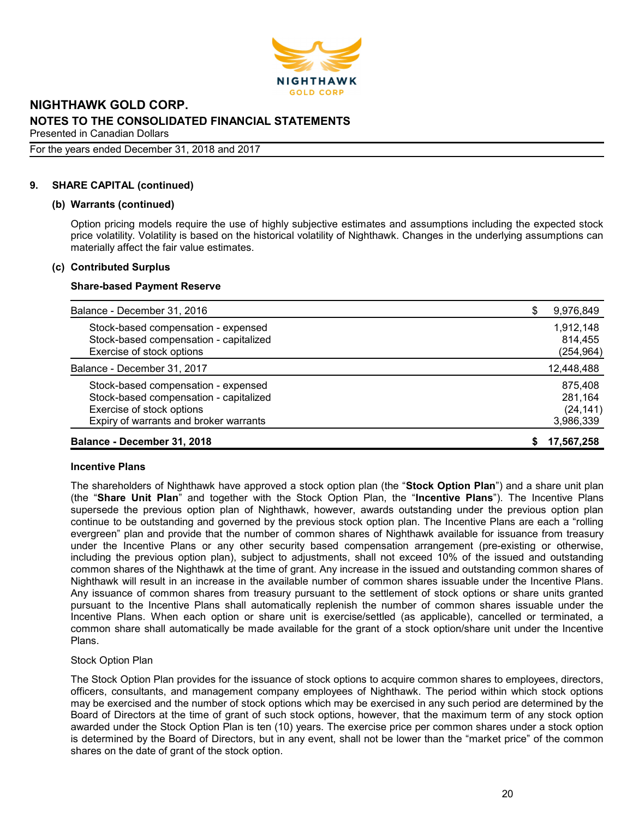

# NIGHTHAWK GOLD CORP. NOTES TO THE CONSOLIDATED FINANCIAL STATEMENTS

Presented in Canadian Dollars

## For the years ended December 31, 2018 and 2017

## 9. SHARE CAPITAL (continued)

## (b) Warrants (continued)

Option pricing models require the use of highly subjective estimates and assumptions including the expected stock price volatility. Volatility is based on the historical volatility of Nighthawk. Changes in the underlying assumptions can materially affect the fair value estimates.

### (c) Contributed Surplus

#### Share-based Payment Reserve

| Balance - December 31, 2016            | 9,976,849  |
|----------------------------------------|------------|
| Stock-based compensation - expensed    | 1,912,148  |
| Stock-based compensation - capitalized | 814,455    |
| Exercise of stock options              | (254, 964) |
| Balance - December 31, 2017            | 12,448,488 |
| Stock-based compensation - expensed    | 875,408    |
| Stock-based compensation - capitalized | 281,164    |
| Exercise of stock options              | (24, 141)  |
| Expiry of warrants and broker warrants | 3,986,339  |
| Balance - December 31, 2018            | 17,567,258 |

#### Incentive Plans

The shareholders of Nighthawk have approved a stock option plan (the "Stock Option Plan") and a share unit plan (the "Share Unit Plan" and together with the Stock Option Plan, the "Incentive Plans"). The Incentive Plans supersede the previous option plan of Nighthawk, however, awards outstanding under the previous option plan continue to be outstanding and governed by the previous stock option plan. The Incentive Plans are each a "rolling evergreen" plan and provide that the number of common shares of Nighthawk available for issuance from treasury under the Incentive Plans or any other security based compensation arrangement (pre-existing or otherwise, including the previous option plan), subject to adjustments, shall not exceed 10% of the issued and outstanding common shares of the Nighthawk at the time of grant. Any increase in the issued and outstanding common shares of Nighthawk will result in an increase in the available number of common shares issuable under the Incentive Plans. Any issuance of common shares from treasury pursuant to the settlement of stock options or share units granted pursuant to the Incentive Plans shall automatically replenish the number of common shares issuable under the Incentive Plans. When each option or share unit is exercise/settled (as applicable), cancelled or terminated, a common share shall automatically be made available for the grant of a stock option/share unit under the Incentive Plans.

## Stock Option Plan

The Stock Option Plan provides for the issuance of stock options to acquire common shares to employees, directors, officers, consultants, and management company employees of Nighthawk. The period within which stock options may be exercised and the number of stock options which may be exercised in any such period are determined by the Board of Directors at the time of grant of such stock options, however, that the maximum term of any stock option awarded under the Stock Option Plan is ten (10) years. The exercise price per common shares under a stock option is determined by the Board of Directors, but in any event, shall not be lower than the "market price" of the common shares on the date of grant of the stock option.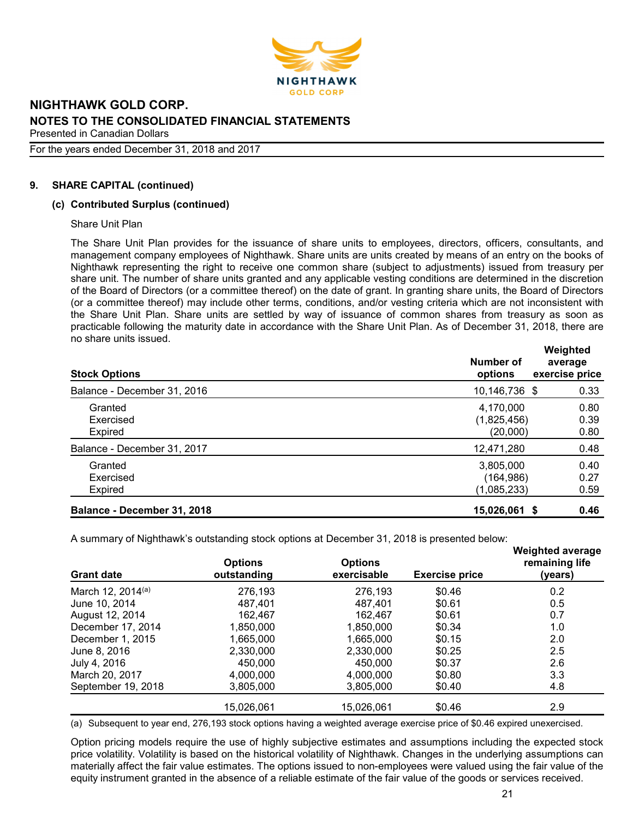

For the years ended December 31, 2018 and 2017

## 9. SHARE CAPITAL (continued)

## (c) Contributed Surplus (continued)

## Share Unit Plan

The Share Unit Plan provides for the issuance of share units to employees, directors, officers, consultants, and management company employees of Nighthawk. Share units are units created by means of an entry on the books of Nighthawk representing the right to receive one common share (subject to adjustments) issued from treasury per share unit. The number of share units granted and any applicable vesting conditions are determined in the discretion of the Board of Directors (or a committee thereof) on the date of grant. In granting share units, the Board of Directors (or a committee thereof) may include other terms, conditions, and/or vesting criteria which are not inconsistent with the Share Unit Plan. Share units are settled by way of issuance of common shares from treasury as soon as practicable following the maturity date in accordance with the Share Unit Plan. As of December 31, 2018, there are no share units issued.

| <b>Stock Options</b>            | Number of<br>options                  | Weighted<br>average<br>exercise price |
|---------------------------------|---------------------------------------|---------------------------------------|
| Balance - December 31, 2016     | 10,146,736 \$                         | 0.33                                  |
| Granted<br>Exercised<br>Expired | 4,170,000<br>(1,825,456)<br>(20,000)  | 0.80<br>0.39<br>0.80                  |
| Balance - December 31, 2017     | 12,471,280                            | 0.48                                  |
| Granted<br>Exercised<br>Expired | 3,805,000<br>(164,986)<br>(1,085,233) | 0.40<br>0.27<br>0.59                  |
| Balance - December 31, 2018     | 15,026,061 \$                         | 0.46                                  |

A summary of Nighthawk's outstanding stock options at December 31, 2018 is presented below:

| <b>Grant date</b>             | <b>Options</b><br>outstanding | <b>Options</b><br>exercisable | <b>Exercise price</b> | <b>Weighted average</b><br>remaining life<br>(years) |
|-------------------------------|-------------------------------|-------------------------------|-----------------------|------------------------------------------------------|
| March 12, 2014 <sup>(a)</sup> | 276,193                       | 276,193                       | \$0.46                | 0.2                                                  |
| June 10, 2014                 | 487,401                       | 487,401                       | \$0.61                | 0.5                                                  |
| August 12, 2014               | 162,467                       | 162,467                       | \$0.61                | 0.7                                                  |
| December 17, 2014             | 1,850,000                     | 1,850,000                     | \$0.34                | 1.0                                                  |
| December 1, 2015              | 1,665,000                     | 1,665,000                     | \$0.15                | 2.0                                                  |
| June 8, 2016                  | 2,330,000                     | 2,330,000                     | \$0.25                | 2.5                                                  |
| July 4, 2016                  | 450,000                       | 450,000                       | \$0.37                | 2.6                                                  |
| March 20, 2017                | 4,000,000                     | 4,000,000                     | \$0.80                | 3.3                                                  |
| September 19, 2018            | 3.805.000                     | 3,805,000                     | \$0.40                | 4.8                                                  |
|                               | 15,026,061                    | 15,026,061                    | \$0.46                | 2.9                                                  |

(a) Subsequent to year end, 276,193 stock options having a weighted average exercise price of \$0.46 expired unexercised.

Option pricing models require the use of highly subjective estimates and assumptions including the expected stock price volatility. Volatility is based on the historical volatility of Nighthawk. Changes in the underlying assumptions can materially affect the fair value estimates. The options issued to non-employees were valued using the fair value of the equity instrument granted in the absence of a reliable estimate of the fair value of the goods or services received.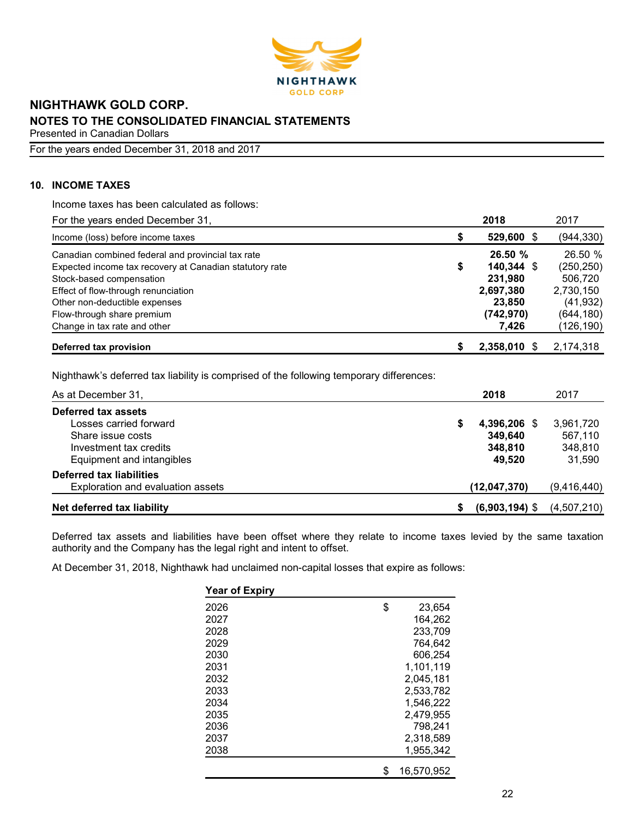

# NIGHTHAWK GOLD CORP. NOTES TO THE CONSOLIDATED FINANCIAL STATEMENTS

Presented in Canadian Dollars

For the years ended December 31, 2018 and 2017

## 10. INCOME TAXES

Income taxes has been calculated as follows:

| For the years ended December 31,                        | 2018             | 2017       |
|---------------------------------------------------------|------------------|------------|
| Income (loss) before income taxes                       | 529,600 \$       | (944, 330) |
| Canadian combined federal and provincial tax rate       | 26.50 %          | 26.50 %    |
| Expected income tax recovery at Canadian statutory rate | 140,344 \$       | (250, 250) |
| Stock-based compensation                                | 231.980          | 506,720    |
| Effect of flow-through renunciation                     | 2,697,380        | 2,730,150  |
| Other non-deductible expenses                           | 23,850           | (41, 932)  |
| Flow-through share premium                              | (742, 970)       | (644, 180) |
| Change in tax rate and other                            | 7,426            | (126,190)  |
| Deferred tax provision                                  | 2.358.010<br>\$. | 2.174.318  |

Nighthawk's deferred tax liability is comprised of the following temporary differences:

| As at December 31,                | 2018             | 2017        |
|-----------------------------------|------------------|-------------|
| Deferred tax assets               |                  |             |
| Losses carried forward            | 4,396,206 \$     | 3,961,720   |
| Share issue costs                 | 349.640          | 567,110     |
| Investment tax credits            | 348.810          | 348,810     |
| Equipment and intangibles         | 49.520           | 31,590      |
| <b>Deferred tax liabilities</b>   |                  |             |
| Exploration and evaluation assets | (12,047,370)     | (9,416,440) |
| Net deferred tax liability        | $(6,903,194)$ \$ | (4,507,210) |

Deferred tax assets and liabilities have been offset where they relate to income taxes levied by the same taxation authority and the Company has the legal right and intent to offset.

At December 31, 2018, Nighthawk had unclaimed non-capital losses that expire as follows:

| <b>Year of Expiry</b> |                  |  |
|-----------------------|------------------|--|
| 2026                  | \$<br>23,654     |  |
| 2027                  | 164.262          |  |
| 2028                  | 233,709          |  |
| 2029                  | 764,642          |  |
| 2030                  | 606,254          |  |
| 2031                  | 1,101,119        |  |
| 2032                  | 2,045,181        |  |
| 2033                  | 2,533,782        |  |
| 2034                  | 1.546.222        |  |
| 2035                  | 2,479,955        |  |
| 2036                  | 798,241          |  |
| 2037                  | 2,318,589        |  |
| 2038                  | 1,955,342        |  |
|                       | \$<br>16,570,952 |  |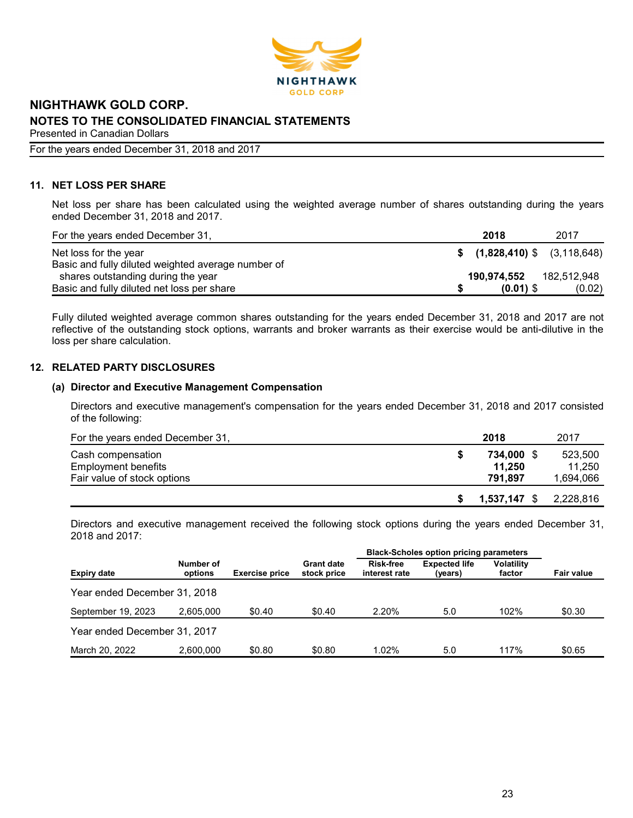

# For the years ended December 31, 2018 and 2017

## 11. NET LOSS PER SHARE

Net loss per share has been calculated using the weighted average number of shares outstanding during the years ended December 31, 2018 and 2017.

| For the years ended December 31,                   | 2018                           | 2017        |
|----------------------------------------------------|--------------------------------|-------------|
| Net loss for the year                              | $$$ (1,828,410) \$ (3,118,648) |             |
| Basic and fully diluted weighted average number of |                                |             |
| shares outstanding during the year                 | 190.974.552                    | 182.512.948 |
| Basic and fully diluted net loss per share         | $(0.01)$ \$                    | (0.02)      |

Fully diluted weighted average common shares outstanding for the years ended December 31, 2018 and 2017 are not reflective of the outstanding stock options, warrants and broker warrants as their exercise would be anti-dilutive in the loss per share calculation.

# 12. RELATED PARTY DISCLOSURES

### (a) Director and Executive Management Compensation

Directors and executive management's compensation for the years ended December 31, 2018 and 2017 consisted of the following:

| For the years ended December 31, | 2018              | 2017      |
|----------------------------------|-------------------|-----------|
| Cash compensation                | <b>734,000 \$</b> | 523,500   |
| <b>Employment benefits</b>       | 11.250            | 11.250    |
| Fair value of stock options      | 791.897           | 1,694,066 |
|                                  | $1,537,147$ \$    | 2,228,816 |

Directors and executive management received the following stock options during the years ended December 31, 2018 and 2017:

|                              |                      |                       |                                  | <b>Black-Scholes option pricing parameters</b> |                                 |                             |                   |
|------------------------------|----------------------|-----------------------|----------------------------------|------------------------------------------------|---------------------------------|-----------------------------|-------------------|
| <b>Expiry date</b>           | Number of<br>options | <b>Exercise price</b> | <b>Grant date</b><br>stock price | <b>Risk-free</b><br>interest rate              | <b>Expected life</b><br>(years) | <b>Volatility</b><br>factor | <b>Fair value</b> |
| Year ended December 31, 2018 |                      |                       |                                  |                                                |                                 |                             |                   |
| September 19, 2023           | 2,605,000            | \$0.40                | \$0.40                           | 2.20%                                          | 5.0                             | 102%                        | \$0.30            |
| Year ended December 31, 2017 |                      |                       |                                  |                                                |                                 |                             |                   |
| March 20, 2022               | 2.600.000            | \$0.80                | \$0.80                           | 1.02%                                          | 5.0                             | 117%                        | \$0.65            |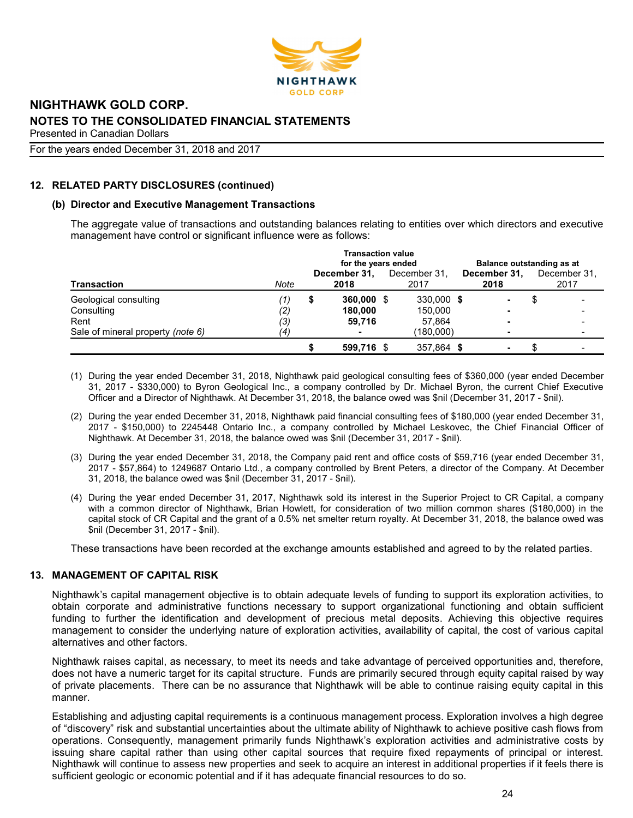

## For the years ended December 31, 2018 and 2017

## 12. RELATED PARTY DISCLOSURES (continued)

## (b) Director and Executive Management Transactions

The aggregate value of transactions and outstanding balances relating to entities over which directors and executive management have control or significant influence were as follows:

|                                             | <b>Transaction value</b><br>Balance outstanding as at<br>for the years ended |   |                                 |                                              |                                 |  |                          |   |                      |
|---------------------------------------------|------------------------------------------------------------------------------|---|---------------------------------|----------------------------------------------|---------------------------------|--|--------------------------|---|----------------------|
| <b>Transaction</b>                          | Note                                                                         |   |                                 | December 31.<br>December 31,<br>2017<br>2018 |                                 |  | December 31,<br>2018     |   | December 31,<br>2017 |
| Geological consulting<br>Consulting<br>Rent | (1)<br>(2)<br>(3)                                                            | S | 360,000 \$<br>180.000<br>59,716 |                                              | 330.000 \$<br>150,000<br>57.864 |  | $\overline{\phantom{0}}$ | S |                      |
| Sale of mineral property (note 6)           | (4)                                                                          |   | 599,716 \$                      |                                              | (180,000)<br>357,864 \$         |  |                          |   |                      |

- (1) During the year ended December 31, 2018, Nighthawk paid geological consulting fees of \$360,000 (year ended December 31, 2017 - \$330,000) to Byron Geological Inc., a company controlled by Dr. Michael Byron, the current Chief Executive Officer and a Director of Nighthawk. At December 31, 2018, the balance owed was \$nil (December 31, 2017 - \$nil).
- (2) During the year ended December 31, 2018, Nighthawk paid financial consulting fees of \$180,000 (year ended December 31, 2017 - \$150,000) to 2245448 Ontario Inc., a company controlled by Michael Leskovec, the Chief Financial Officer of Nighthawk. At December 31, 2018, the balance owed was \$nil (December 31, 2017 - \$nil).
- (3) During the year ended December 31, 2018, the Company paid rent and office costs of \$59,716 (year ended December 31, 2017 - \$57,864) to 1249687 Ontario Ltd., a company controlled by Brent Peters, a director of the Company. At December 31, 2018, the balance owed was \$nil (December 31, 2017 - \$nil).
- (4) During the year ended December 31, 2017, Nighthawk sold its interest in the Superior Project to CR Capital, a company with a common director of Nighthawk, Brian Howlett, for consideration of two million common shares (\$180,000) in the capital stock of CR Capital and the grant of a 0.5% net smelter return royalty. At December 31, 2018, the balance owed was \$nil (December 31, 2017 - \$nil).

These transactions have been recorded at the exchange amounts established and agreed to by the related parties.

## 13. MANAGEMENT OF CAPITAL RISK

Nighthawk's capital management objective is to obtain adequate levels of funding to support its exploration activities, to obtain corporate and administrative functions necessary to support organizational functioning and obtain sufficient funding to further the identification and development of precious metal deposits. Achieving this objective requires management to consider the underlying nature of exploration activities, availability of capital, the cost of various capital alternatives and other factors.

Nighthawk raises capital, as necessary, to meet its needs and take advantage of perceived opportunities and, therefore, does not have a numeric target for its capital structure. Funds are primarily secured through equity capital raised by way of private placements. There can be no assurance that Nighthawk will be able to continue raising equity capital in this manner.

Establishing and adjusting capital requirements is a continuous management process. Exploration involves a high degree of "discovery" risk and substantial uncertainties about the ultimate ability of Nighthawk to achieve positive cash flows from operations. Consequently, management primarily funds Nighthawk's exploration activities and administrative costs by issuing share capital rather than using other capital sources that require fixed repayments of principal or interest. Nighthawk will continue to assess new properties and seek to acquire an interest in additional properties if it feels there is sufficient geologic or economic potential and if it has adequate financial resources to do so.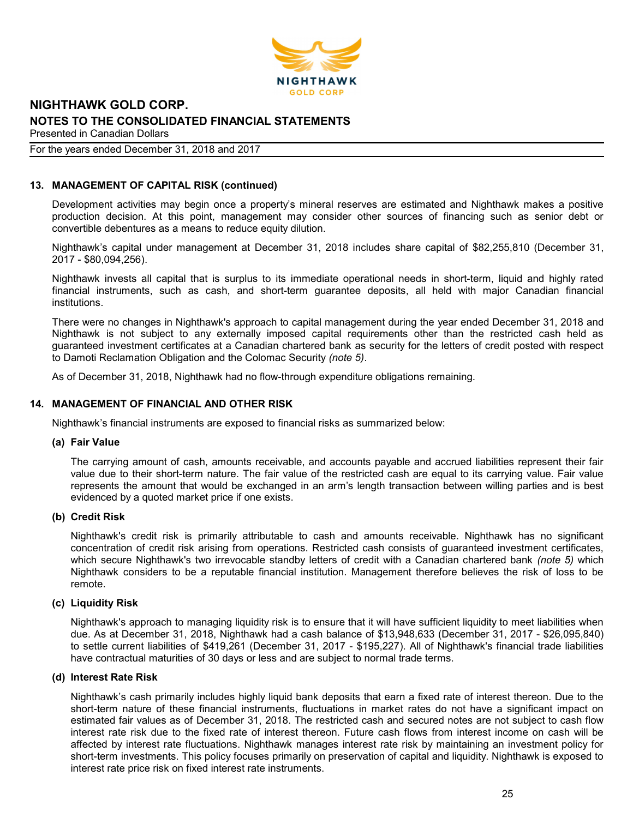

## For the years ended December 31, 2018 and 2017

## 13. MANAGEMENT OF CAPITAL RISK (continued)

Development activities may begin once a property's mineral reserves are estimated and Nighthawk makes a positive production decision. At this point, management may consider other sources of financing such as senior debt or convertible debentures as a means to reduce equity dilution.

Nighthawk's capital under management at December 31, 2018 includes share capital of \$82,255,810 (December 31, 2017 - \$80,094,256).

Nighthawk invests all capital that is surplus to its immediate operational needs in short-term, liquid and highly rated financial instruments, such as cash, and short-term guarantee deposits, all held with major Canadian financial institutions.

There were no changes in Nighthawk's approach to capital management during the year ended December 31, 2018 and Nighthawk is not subject to any externally imposed capital requirements other than the restricted cash held as guaranteed investment certificates at a Canadian chartered bank as security for the letters of credit posted with respect to Damoti Reclamation Obligation and the Colomac Security (note 5).

As of December 31, 2018, Nighthawk had no flow-through expenditure obligations remaining.

## 14. MANAGEMENT OF FINANCIAL AND OTHER RISK

Nighthawk's financial instruments are exposed to financial risks as summarized below:

#### (a) Fair Value

The carrying amount of cash, amounts receivable, and accounts payable and accrued liabilities represent their fair value due to their short-term nature. The fair value of the restricted cash are equal to its carrying value. Fair value represents the amount that would be exchanged in an arm's length transaction between willing parties and is best evidenced by a quoted market price if one exists.

## (b) Credit Risk

Nighthawk's credit risk is primarily attributable to cash and amounts receivable. Nighthawk has no significant concentration of credit risk arising from operations. Restricted cash consists of guaranteed investment certificates, which secure Nighthawk's two irrevocable standby letters of credit with a Canadian chartered bank (note 5) which Nighthawk considers to be a reputable financial institution. Management therefore believes the risk of loss to be remote.

## (c) Liquidity Risk

Nighthawk's approach to managing liquidity risk is to ensure that it will have sufficient liquidity to meet liabilities when due. As at December 31, 2018, Nighthawk had a cash balance of \$13,948,633 (December 31, 2017 - \$26,095,840) to settle current liabilities of \$419,261 (December 31, 2017 - \$195,227). All of Nighthawk's financial trade liabilities have contractual maturities of 30 days or less and are subject to normal trade terms.

#### (d) Interest Rate Risk

Nighthawk's cash primarily includes highly liquid bank deposits that earn a fixed rate of interest thereon. Due to the short-term nature of these financial instruments, fluctuations in market rates do not have a significant impact on estimated fair values as of December 31, 2018. The restricted cash and secured notes are not subject to cash flow interest rate risk due to the fixed rate of interest thereon. Future cash flows from interest income on cash will be affected by interest rate fluctuations. Nighthawk manages interest rate risk by maintaining an investment policy for short-term investments. This policy focuses primarily on preservation of capital and liquidity. Nighthawk is exposed to interest rate price risk on fixed interest rate instruments.